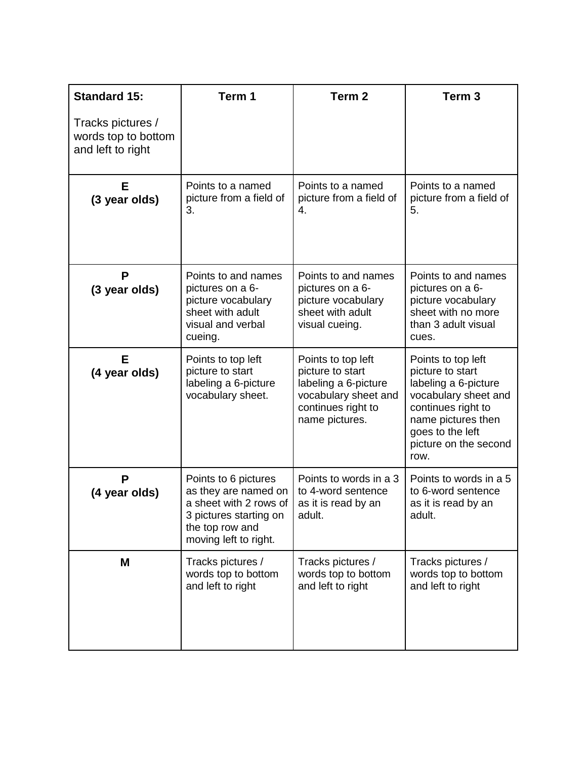| <b>Standard 15:</b>                                           | Term 1                                                                                                                                       | Term <sub>2</sub>                                                                                                              | Term <sub>3</sub>                                                                                                                                                                       |
|---------------------------------------------------------------|----------------------------------------------------------------------------------------------------------------------------------------------|--------------------------------------------------------------------------------------------------------------------------------|-----------------------------------------------------------------------------------------------------------------------------------------------------------------------------------------|
| Tracks pictures /<br>words top to bottom<br>and left to right |                                                                                                                                              |                                                                                                                                |                                                                                                                                                                                         |
| Е<br>(3 year olds)                                            | Points to a named<br>picture from a field of<br>3.                                                                                           | Points to a named<br>picture from a field of<br>4.                                                                             | Points to a named<br>picture from a field of<br>5.                                                                                                                                      |
| P<br>(3 year olds)                                            | Points to and names<br>pictures on a 6-<br>picture vocabulary<br>sheet with adult<br>visual and verbal<br>cueing.                            | Points to and names<br>pictures on a 6-<br>picture vocabulary<br>sheet with adult<br>visual cueing.                            | Points to and names<br>pictures on a 6-<br>picture vocabulary<br>sheet with no more<br>than 3 adult visual<br>cues.                                                                     |
| Е<br>(4 year olds)                                            | Points to top left<br>picture to start<br>labeling a 6-picture<br>vocabulary sheet.                                                          | Points to top left<br>picture to start<br>labeling a 6-picture<br>vocabulary sheet and<br>continues right to<br>name pictures. | Points to top left<br>picture to start<br>labeling a 6-picture<br>vocabulary sheet and<br>continues right to<br>name pictures then<br>goes to the left<br>picture on the second<br>row. |
| P<br>(4 year olds)                                            | Points to 6 pictures<br>as they are named on<br>a sheet with 2 rows of<br>3 pictures starting on<br>the top row and<br>moving left to right. | Points to words in a 3<br>to 4-word sentence<br>as it is read by an<br>adult.                                                  | Points to words in a 5<br>to 6-word sentence<br>as it is read by an<br>adult.                                                                                                           |
| M                                                             | Tracks pictures /<br>words top to bottom<br>and left to right                                                                                | Tracks pictures /<br>words top to bottom<br>and left to right                                                                  | Tracks pictures /<br>words top to bottom<br>and left to right                                                                                                                           |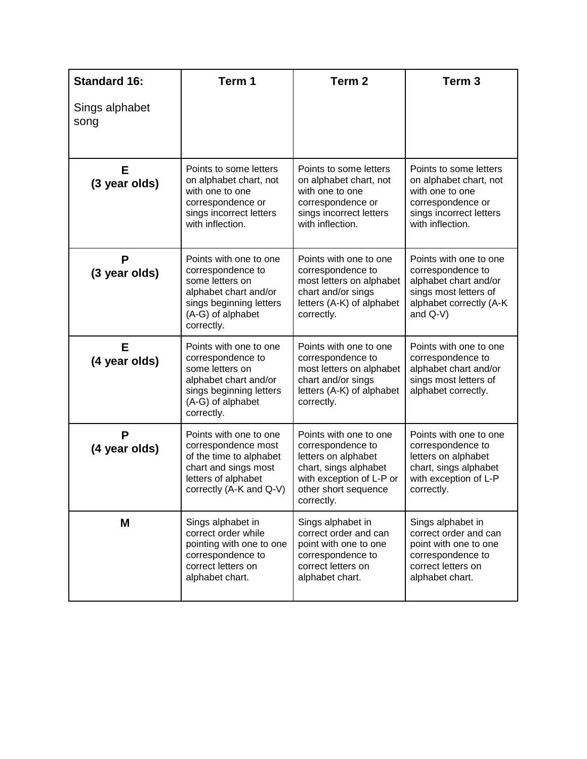| <b>Standard 16:</b>    | Term 1                                                                                                                                                | Term <sub>2</sub>                                                                                                                                             | Term <sub>3</sub>                                                                                                                       |
|------------------------|-------------------------------------------------------------------------------------------------------------------------------------------------------|---------------------------------------------------------------------------------------------------------------------------------------------------------------|-----------------------------------------------------------------------------------------------------------------------------------------|
| Sings alphabet<br>song |                                                                                                                                                       |                                                                                                                                                               |                                                                                                                                         |
| Е<br>(3 year olds)     | Points to some letters<br>on alphabet chart, not<br>with one to one<br>correspondence or<br>sings incorrect letters<br>with inflection.               | Points to some letters<br>on alphabet chart, not<br>with one to one<br>correspondence or<br>sings incorrect letters<br>with inflection.                       | Points to some letters<br>on alphabet chart, not<br>with one to one<br>correspondence or<br>sings incorrect letters<br>with inflection. |
| P<br>(3 year olds)     | Points with one to one<br>correspondence to<br>some letters on<br>alphabet chart and/or<br>sings beginning letters<br>(A-G) of alphabet<br>correctly. | Points with one to one<br>correspondence to<br>most letters on alphabet<br>chart and/or sings<br>letters (A-K) of alphabet<br>correctly.                      | Points with one to one<br>correspondence to<br>alphabet chart and/or<br>sings most letters of<br>alphabet correctly (A-K<br>and $Q-V$ ) |
| E<br>(4 year olds)     | Points with one to one<br>correspondence to<br>some letters on<br>alphabet chart and/or<br>sings beginning letters<br>(A-G) of alphabet<br>correctly. | Points with one to one<br>correspondence to<br>most letters on alphabet<br>chart and/or sings<br>letters (A-K) of alphabet<br>correctly.                      | Points with one to one<br>correspondence to<br>alphabet chart and/or<br>sings most letters of<br>alphabet correctly.                    |
| P<br>(4 year olds)     | Points with one to one<br>correspondence most<br>of the time to alphabet<br>chart and sings most<br>letters of alphabet<br>correctly (A-K and Q-V)    | Points with one to one<br>correspondence to<br>letters on alphabet<br>chart, sings alphabet<br>with exception of L-P or<br>other short sequence<br>correctly. | Points with one to one<br>correspondence to<br>letters on alphabet<br>chart, sings alphabet<br>with exception of L-P<br>correctly.      |
| M                      | Sings alphabet in<br>correct order while<br>pointing with one to one<br>correspondence to<br>correct letters on<br>alphabet chart.                    | Sings alphabet in<br>correct order and can<br>point with one to one<br>correspondence to<br>correct letters on<br>alphabet chart.                             | Sings alphabet in<br>correct order and can<br>point with one to one<br>correspondence to<br>correct letters on<br>alphabet chart.       |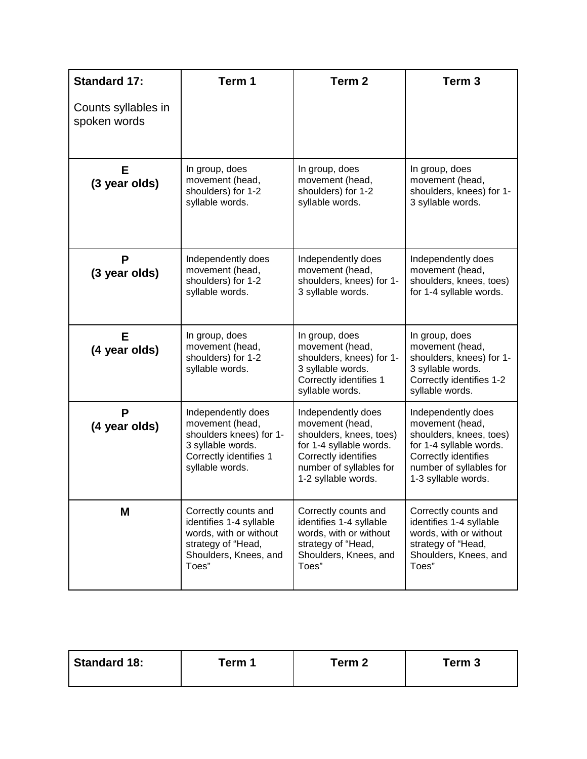| <b>Standard 17:</b>                 | Term 1                                                                                                                             | Term <sub>2</sub>                                                                                                                                                     | Term <sub>3</sub>                                                                                                                                                     |
|-------------------------------------|------------------------------------------------------------------------------------------------------------------------------------|-----------------------------------------------------------------------------------------------------------------------------------------------------------------------|-----------------------------------------------------------------------------------------------------------------------------------------------------------------------|
| Counts syllables in<br>spoken words |                                                                                                                                    |                                                                                                                                                                       |                                                                                                                                                                       |
| Е<br>(3 year olds)                  | In group, does<br>movement (head,<br>shoulders) for 1-2<br>syllable words.                                                         | In group, does<br>movement (head,<br>shoulders) for 1-2<br>syllable words.                                                                                            | In group, does<br>movement (head,<br>shoulders, knees) for 1-<br>3 syllable words.                                                                                    |
| P<br>(3 year olds)                  | Independently does<br>movement (head,<br>shoulders) for 1-2<br>syllable words.                                                     | Independently does<br>movement (head,<br>shoulders, knees) for 1-<br>3 syllable words.                                                                                | Independently does<br>movement (head,<br>shoulders, knees, toes)<br>for 1-4 syllable words.                                                                           |
| E<br>(4 year olds)                  | In group, does<br>movement (head,<br>shoulders) for 1-2<br>syllable words.                                                         | In group, does<br>movement (head,<br>shoulders, knees) for 1-<br>3 syllable words.<br>Correctly identifies 1<br>syllable words.                                       | In group, does<br>movement (head,<br>shoulders, knees) for 1-<br>3 syllable words.<br>Correctly identifies 1-2<br>syllable words.                                     |
| P<br>(4 year olds)                  | Independently does<br>movement (head,<br>shoulders knees) for 1-<br>3 syllable words.<br>Correctly identifies 1<br>syllable words. | Independently does<br>movement (head,<br>shoulders, knees, toes)<br>for 1-4 syllable words.<br>Correctly identifies<br>number of syllables for<br>1-2 syllable words. | Independently does<br>movement (head,<br>shoulders, knees, toes)<br>for 1-4 syllable words.<br>Correctly identifies<br>number of syllables for<br>1-3 syllable words. |
| M                                   | Correctly counts and<br>identifies 1-4 syllable<br>words, with or without<br>strategy of "Head,<br>Shoulders, Knees, and<br>Toes"  | Correctly counts and<br>identifies 1-4 syllable<br>words, with or without<br>strategy of "Head,<br>Shoulders, Knees, and<br>Toes"                                     | Correctly counts and<br>identifies 1-4 syllable<br>words, with or without<br>strategy of "Head,<br>Shoulders, Knees, and<br>Toes"                                     |

| Standard 18: | Term 1 | Term 2 | Term 3 |
|--------------|--------|--------|--------|
|              |        |        |        |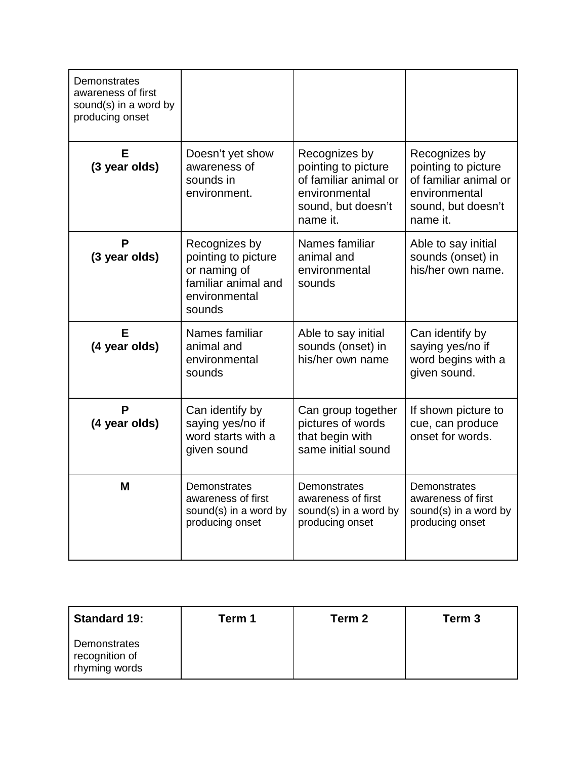| Demonstrates<br>awareness of first<br>sound(s) in a word by<br>producing onset |                                                                                                        |                                                                                                                  |                                                                                                                  |
|--------------------------------------------------------------------------------|--------------------------------------------------------------------------------------------------------|------------------------------------------------------------------------------------------------------------------|------------------------------------------------------------------------------------------------------------------|
| Е<br>(3 year olds)                                                             | Doesn't yet show<br>awareness of<br>sounds in<br>environment.                                          | Recognizes by<br>pointing to picture<br>of familiar animal or<br>environmental<br>sound, but doesn't<br>name it. | Recognizes by<br>pointing to picture<br>of familiar animal or<br>environmental<br>sound, but doesn't<br>name it. |
| P<br>(3 year olds)                                                             | Recognizes by<br>pointing to picture<br>or naming of<br>familiar animal and<br>environmental<br>sounds | Names familiar<br>animal and<br>environmental<br>sounds                                                          | Able to say initial<br>sounds (onset) in<br>his/her own name.                                                    |
| F<br>(4 year olds)                                                             | Names familiar<br>animal and<br>environmental<br>sounds                                                | Able to say initial<br>sounds (onset) in<br>his/her own name                                                     | Can identify by<br>saying yes/no if<br>word begins with a<br>given sound.                                        |
| P<br>(4 year olds)                                                             | Can identify by<br>saying yes/no if<br>word starts with a<br>given sound                               | Can group together<br>pictures of words<br>that begin with<br>same initial sound                                 | If shown picture to<br>cue, can produce<br>onset for words.                                                      |
| M                                                                              | Demonstrates<br>awareness of first<br>sound(s) in a word by<br>producing onset                         | Demonstrates<br>awareness of first<br>sound(s) in a word by<br>producing onset                                   | Demonstrates<br>awareness of first<br>sound(s) in a word by<br>producing onset                                   |

| <b>Standard 19:</b>                             | Term 1 | Term 2 | Term 3 |
|-------------------------------------------------|--------|--------|--------|
| Demonstrates<br>recognition of<br>rhyming words |        |        |        |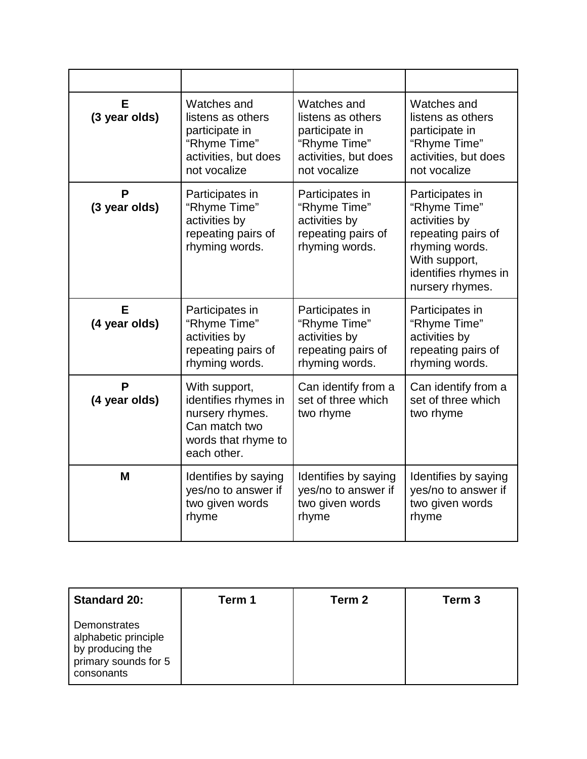| Е<br>(3 year olds) | Watches and<br>listens as others<br>participate in<br>"Rhyme Time"<br>activities, but does<br>not vocalize      | Watches and<br>listens as others<br>participate in<br>"Rhyme Time"<br>activities, but does<br>not vocalize | Watches and<br>listens as others<br>participate in<br>"Rhyme Time"<br>activities, but does<br>not vocalize                                           |
|--------------------|-----------------------------------------------------------------------------------------------------------------|------------------------------------------------------------------------------------------------------------|------------------------------------------------------------------------------------------------------------------------------------------------------|
| Р<br>(3 year olds) | Participates in<br>"Rhyme Time"<br>activities by<br>repeating pairs of<br>rhyming words.                        | Participates in<br>"Rhyme Time"<br>activities by<br>repeating pairs of<br>rhyming words.                   | Participates in<br>"Rhyme Time"<br>activities by<br>repeating pairs of<br>rhyming words.<br>With support,<br>identifies rhymes in<br>nursery rhymes. |
| F<br>(4 year olds) | Participates in<br>"Rhyme Time"<br>activities by<br>repeating pairs of<br>rhyming words.                        | Participates in<br>"Rhyme Time"<br>activities by<br>repeating pairs of<br>rhyming words.                   | Participates in<br>"Rhyme Time"<br>activities by<br>repeating pairs of<br>rhyming words.                                                             |
| P<br>(4 year olds) | With support,<br>identifies rhymes in<br>nursery rhymes.<br>Can match two<br>words that rhyme to<br>each other. | Can identify from a<br>set of three which<br>two rhyme                                                     | Can identify from a<br>set of three which<br>two rhyme                                                                                               |
| M                  | Identifies by saying<br>yes/no to answer if<br>two given words<br>rhyme                                         | Identifies by saying<br>yes/no to answer if<br>two given words<br>rhyme                                    | Identifies by saying<br>yes/no to answer if<br>two given words<br>rhyme                                                                              |

| <b>Standard 20:</b>                                                                            | Term 1 | Term 2 | Term 3 |
|------------------------------------------------------------------------------------------------|--------|--------|--------|
| Demonstrates<br>alphabetic principle<br>by producing the<br>primary sounds for 5<br>consonants |        |        |        |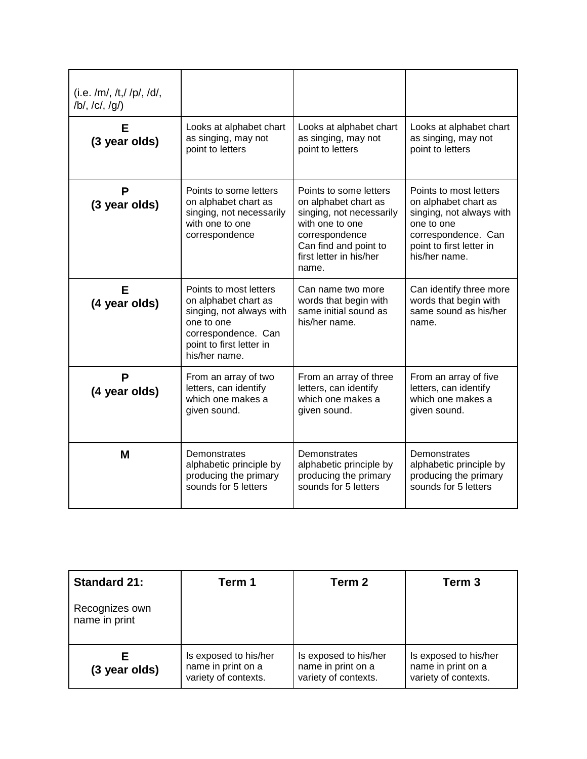| $(i.e. /m/$ , /t,//p/,/d/,<br>$/b/$ , $/c/$ , $/q/$ |                                                                                                                                                              |                                                                                                                                                                              |                                                                                                                                                              |
|-----------------------------------------------------|--------------------------------------------------------------------------------------------------------------------------------------------------------------|------------------------------------------------------------------------------------------------------------------------------------------------------------------------------|--------------------------------------------------------------------------------------------------------------------------------------------------------------|
| Е<br>(3 year olds)                                  | Looks at alphabet chart<br>as singing, may not<br>point to letters                                                                                           | Looks at alphabet chart<br>as singing, may not<br>point to letters                                                                                                           | Looks at alphabet chart<br>as singing, may not<br>point to letters                                                                                           |
| P<br>(3 year olds)                                  | Points to some letters<br>on alphabet chart as<br>singing, not necessarily<br>with one to one<br>correspondence                                              | Points to some letters<br>on alphabet chart as<br>singing, not necessarily<br>with one to one<br>correspondence<br>Can find and point to<br>first letter in his/her<br>name. | Points to most letters<br>on alphabet chart as<br>singing, not always with<br>one to one<br>correspondence. Can<br>point to first letter in<br>his/her name. |
| Е<br>(4 year olds)                                  | Points to most letters<br>on alphabet chart as<br>singing, not always with<br>one to one<br>correspondence. Can<br>point to first letter in<br>his/her name. | Can name two more<br>words that begin with<br>same initial sound as<br>his/her name.                                                                                         | Can identify three more<br>words that begin with<br>same sound as his/her<br>name.                                                                           |
| P<br>(4 year olds)                                  | From an array of two<br>letters, can identify<br>which one makes a<br>given sound.                                                                           | From an array of three<br>letters, can identify<br>which one makes a<br>given sound.                                                                                         | From an array of five<br>letters, can identify<br>which one makes a<br>given sound.                                                                          |
| M                                                   | Demonstrates<br>alphabetic principle by<br>producing the primary<br>sounds for 5 letters                                                                     | Demonstrates<br>alphabetic principle by<br>producing the primary<br>sounds for 5 letters                                                                                     | Demonstrates<br>alphabetic principle by<br>producing the primary<br>sounds for 5 letters                                                                     |

| <b>Standard 21:</b>             | Term 1                                                              | Term 2                                                              | Term 3                                                              |
|---------------------------------|---------------------------------------------------------------------|---------------------------------------------------------------------|---------------------------------------------------------------------|
| Recognizes own<br>name in print |                                                                     |                                                                     |                                                                     |
| (3 year olds)                   | Is exposed to his/her<br>name in print on a<br>variety of contexts. | Is exposed to his/her<br>name in print on a<br>variety of contexts. | Is exposed to his/her<br>name in print on a<br>variety of contexts. |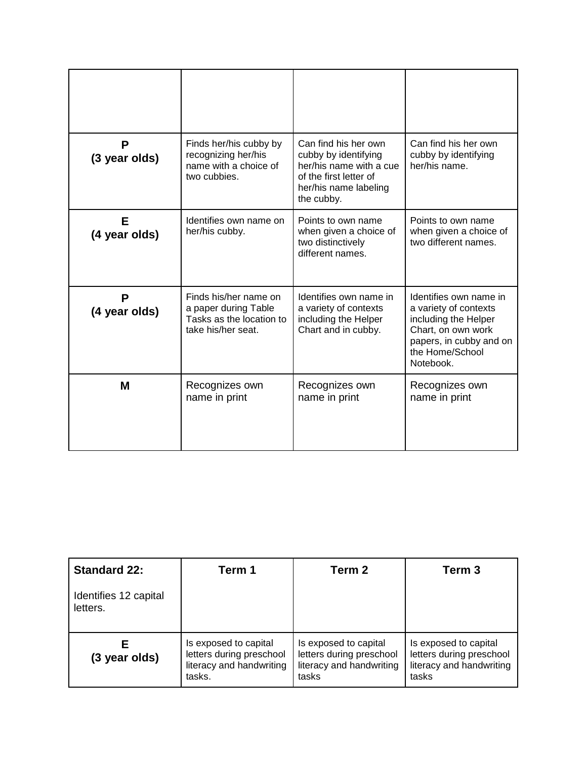| P<br>(3 year olds) | Finds her/his cubby by<br>recognizing her/his<br>name with a choice of<br>two cubbies.          | Can find his her own<br>cubby by identifying<br>her/his name with a cue<br>of the first letter of<br>her/his name labeling<br>the cubby. | Can find his her own<br>cubby by identifying<br>her/his name.                                                                                            |
|--------------------|-------------------------------------------------------------------------------------------------|------------------------------------------------------------------------------------------------------------------------------------------|----------------------------------------------------------------------------------------------------------------------------------------------------------|
| Е<br>(4 year olds) | Identifies own name on<br>her/his cubby.                                                        | Points to own name<br>when given a choice of<br>two distinctively<br>different names.                                                    | Points to own name<br>when given a choice of<br>two different names.                                                                                     |
| P<br>(4 year olds) | Finds his/her name on<br>a paper during Table<br>Tasks as the location to<br>take his/her seat. | Identifies own name in<br>a variety of contexts<br>including the Helper<br>Chart and in cubby.                                           | Identifies own name in<br>a variety of contexts<br>including the Helper<br>Chart, on own work<br>papers, in cubby and on<br>the Home/School<br>Notebook. |
| M                  | Recognizes own<br>name in print                                                                 | Recognizes own<br>name in print                                                                                                          | Recognizes own<br>name in print                                                                                                                          |

| <b>Standard 22:</b>               | Term 1                                                                                  | Term 2                                                                                 | Term 3                                                                                 |
|-----------------------------------|-----------------------------------------------------------------------------------------|----------------------------------------------------------------------------------------|----------------------------------------------------------------------------------------|
| Identifies 12 capital<br>letters. |                                                                                         |                                                                                        |                                                                                        |
| Е<br>(3 year olds)                | Is exposed to capital<br>letters during preschool<br>literacy and handwriting<br>tasks. | Is exposed to capital<br>letters during preschool<br>literacy and handwriting<br>tasks | Is exposed to capital<br>letters during preschool<br>literacy and handwriting<br>tasks |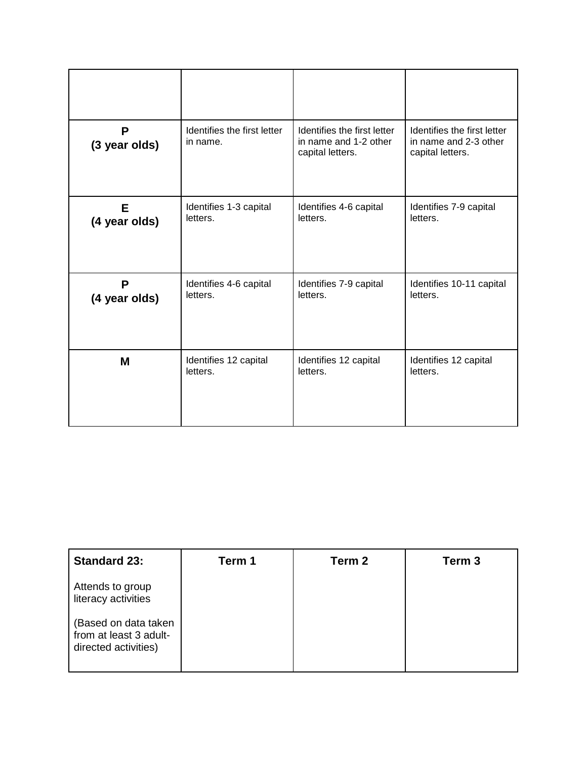| P<br>(3 year olds) | Identifies the first letter<br>in name. | Identifies the first letter<br>in name and 1-2 other<br>capital letters. | Identifies the first letter<br>in name and 2-3 other<br>capital letters. |
|--------------------|-----------------------------------------|--------------------------------------------------------------------------|--------------------------------------------------------------------------|
| Е                  | Identifies 1-3 capital                  | Identifies 4-6 capital                                                   | Identifies 7-9 capital                                                   |
| (4 year olds)      | letters.                                | letters.                                                                 | letters.                                                                 |
| P                  | Identifies 4-6 capital                  | Identifies 7-9 capital                                                   | Identifies 10-11 capital                                                 |
| (4 year olds)      | letters.                                | letters.                                                                 | letters.                                                                 |
| M                  | Identifies 12 capital                   | Identifies 12 capital                                                    | Identifies 12 capital                                                    |
|                    | letters.                                | letters.                                                                 | letters.                                                                 |

| <b>Standard 23:</b>                                                    | Term 1 | Term 2 | Term 3 |
|------------------------------------------------------------------------|--------|--------|--------|
| Attends to group<br>literacy activities                                |        |        |        |
| (Based on data taken<br>from at least 3 adult-<br>directed activities) |        |        |        |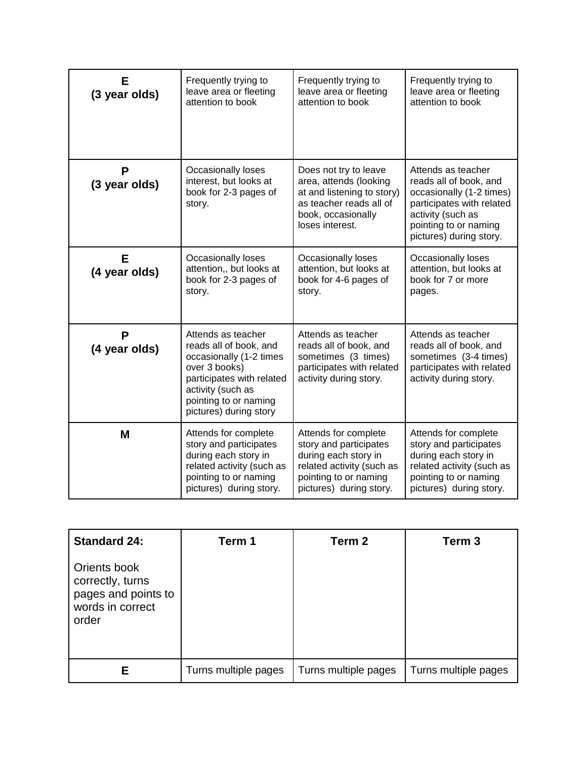| Е<br>(3 year olds) | Frequently trying to<br>leave area or fleeting<br>attention to book                                                                                                                           | Frequently trying to<br>leave area or fleeting<br>attention to book                                                                                     | Frequently trying to<br>leave area or fleeting<br>attention to book                                                                                                            |
|--------------------|-----------------------------------------------------------------------------------------------------------------------------------------------------------------------------------------------|---------------------------------------------------------------------------------------------------------------------------------------------------------|--------------------------------------------------------------------------------------------------------------------------------------------------------------------------------|
| P<br>(3 year olds) | <b>Occasionally loses</b><br>interest, but looks at<br>book for 2-3 pages of<br>story.                                                                                                        | Does not try to leave<br>area, attends (looking<br>at and listening to story)<br>as teacher reads all of<br>book, occasionally<br>loses interest.       | Attends as teacher<br>reads all of book, and<br>occasionally (1-2 times)<br>participates with related<br>activity (such as<br>pointing to or naming<br>pictures) during story. |
| Е<br>(4 year olds) | Occasionally loses<br>attention,, but looks at<br>book for 2-3 pages of<br>story.                                                                                                             | Occasionally loses<br>attention, but looks at<br>book for 4-6 pages of<br>story.                                                                        | Occasionally loses<br>attention, but looks at<br>book for 7 or more<br>pages.                                                                                                  |
| P<br>(4 year olds) | Attends as teacher<br>reads all of book, and<br>occasionally (1-2 times<br>over 3 books)<br>participates with related<br>activity (such as<br>pointing to or naming<br>pictures) during story | Attends as teacher<br>reads all of book, and<br>sometimes (3 times)<br>participates with related<br>activity during story.                              | Attends as teacher<br>reads all of book, and<br>sometimes (3-4 times)<br>participates with related<br>activity during story.                                                   |
| M                  | Attends for complete<br>story and participates<br>during each story in<br>related activity (such as<br>pointing to or naming<br>pictures) during story.                                       | Attends for complete<br>story and participates<br>during each story in<br>related activity (such as<br>pointing to or naming<br>pictures) during story. | Attends for complete<br>story and participates<br>during each story in<br>related activity (such as<br>pointing to or naming<br>pictures) during story.                        |

| <b>Standard 24:</b>                                                                  | Term 1               | Term 2               | Term <sub>3</sub>    |
|--------------------------------------------------------------------------------------|----------------------|----------------------|----------------------|
| Orients book<br>correctly, turns<br>pages and points to<br>words in correct<br>order |                      |                      |                      |
| Ε                                                                                    | Turns multiple pages | Turns multiple pages | Turns multiple pages |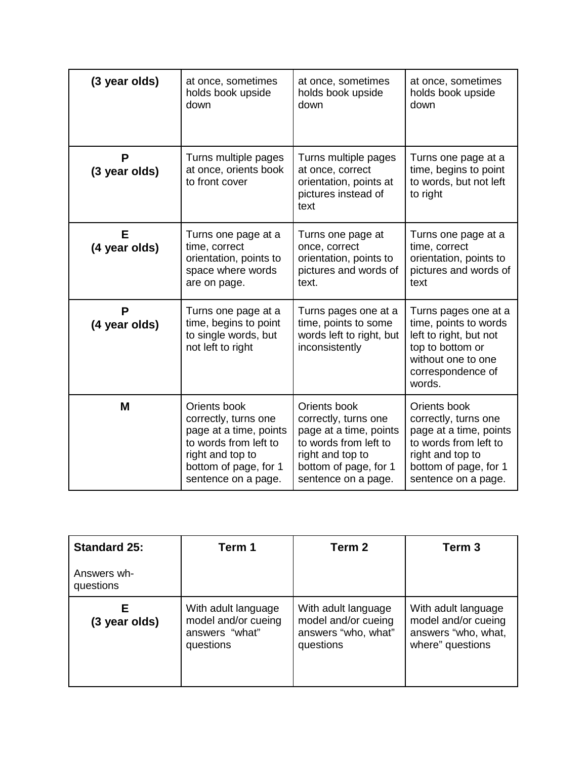| (3 year olds)      | at once, sometimes<br>holds book upside<br>down                                                                                                             | at once, sometimes<br>holds book upside<br>down                                                                                                             | at once, sometimes<br>holds book upside<br>down                                                                                                             |
|--------------------|-------------------------------------------------------------------------------------------------------------------------------------------------------------|-------------------------------------------------------------------------------------------------------------------------------------------------------------|-------------------------------------------------------------------------------------------------------------------------------------------------------------|
| P<br>(3 year olds) | Turns multiple pages<br>at once, orients book<br>to front cover                                                                                             | Turns multiple pages<br>at once, correct<br>orientation, points at<br>pictures instead of<br>text                                                           | Turns one page at a<br>time, begins to point<br>to words, but not left<br>to right                                                                          |
| Е<br>(4 year olds) | Turns one page at a<br>time, correct<br>orientation, points to<br>space where words<br>are on page.                                                         | Turns one page at<br>once, correct<br>orientation, points to<br>pictures and words of<br>text.                                                              | Turns one page at a<br>time, correct<br>orientation, points to<br>pictures and words of<br>text                                                             |
| P<br>(4 year olds) | Turns one page at a<br>time, begins to point<br>to single words, but<br>not left to right                                                                   | Turns pages one at a<br>time, points to some<br>words left to right, but<br>inconsistently                                                                  | Turns pages one at a<br>time, points to words<br>left to right, but not<br>top to bottom or<br>without one to one<br>correspondence of<br>words.            |
| M                  | Orients book<br>correctly, turns one<br>page at a time, points<br>to words from left to<br>right and top to<br>bottom of page, for 1<br>sentence on a page. | Orients book<br>correctly, turns one<br>page at a time, points<br>to words from left to<br>right and top to<br>bottom of page, for 1<br>sentence on a page. | Orients book<br>correctly, turns one<br>page at a time, points<br>to words from left to<br>right and top to<br>bottom of page, for 1<br>sentence on a page. |

| <b>Standard 25:</b>      | Term 1                                                                    | Term 2                                                                         | Term 3                                                                                |
|--------------------------|---------------------------------------------------------------------------|--------------------------------------------------------------------------------|---------------------------------------------------------------------------------------|
| Answers wh-<br>questions |                                                                           |                                                                                |                                                                                       |
| Е<br>(3 year olds)       | With adult language<br>model and/or cueing<br>answers "what"<br>questions | With adult language<br>model and/or cueing<br>answers "who, what"<br>questions | With adult language<br>model and/or cueing<br>answers "who, what,<br>where" questions |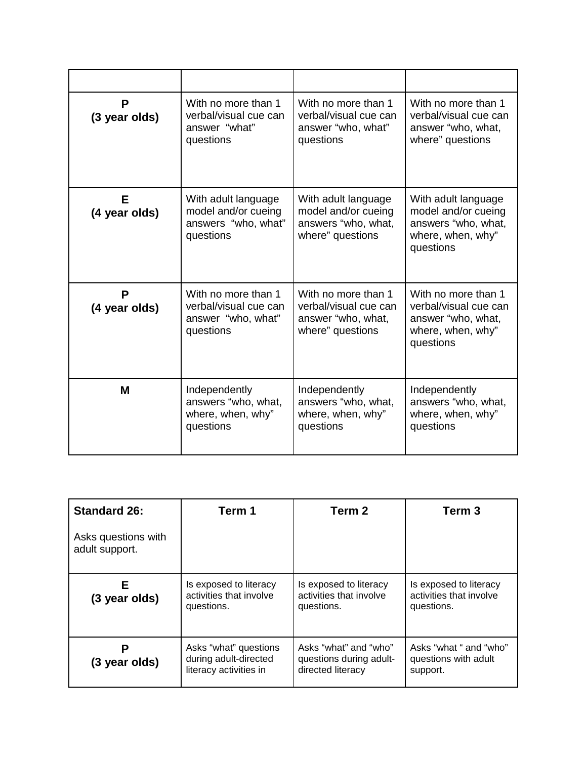| P<br>(3 year olds) | With no more than 1<br>verbal/visual cue can<br>answer "what"<br>questions      | With no more than 1<br>verbal/visual cue can<br>answer "who, what"<br>questions        | With no more than 1<br>verbal/visual cue can<br>answer "who, what,<br>where" questions               |
|--------------------|---------------------------------------------------------------------------------|----------------------------------------------------------------------------------------|------------------------------------------------------------------------------------------------------|
| Е<br>(4 year olds) | With adult language<br>model and/or cueing<br>answers "who, what"<br>questions  | With adult language<br>model and/or cueing<br>answers "who, what,<br>where" questions  | With adult language<br>model and/or cueing<br>answers "who, what,<br>where, when, why"<br>questions  |
| P<br>(4 year olds) | With no more than 1<br>verbal/visual cue can<br>answer "who, what"<br>questions | With no more than 1<br>verbal/visual cue can<br>answer "who, what,<br>where" questions | With no more than 1<br>verbal/visual cue can<br>answer "who, what,<br>where, when, why"<br>questions |
| M                  | Independently<br>answers "who, what,<br>where, when, why"<br>questions          | Independently<br>answers "who, what,<br>where, when, why"<br>questions                 | Independently<br>answers "who, what,<br>where, when, why"<br>questions                               |

| <b>Standard 26:</b>                   | Term 1                                                                   | Term 2                                                                | Term <sub>3</sub>                                               |
|---------------------------------------|--------------------------------------------------------------------------|-----------------------------------------------------------------------|-----------------------------------------------------------------|
| Asks questions with<br>adult support. |                                                                          |                                                                       |                                                                 |
| E.<br>(3 year olds)                   | Is exposed to literacy<br>activities that involve<br>questions.          | Is exposed to literacy<br>activities that involve<br>questions.       | Is exposed to literacy<br>activities that involve<br>questions. |
| (3 year olds)                         | Asks "what" questions<br>during adult-directed<br>literacy activities in | Asks "what" and "who"<br>questions during adult-<br>directed literacy | Asks "what " and "who"<br>questions with adult<br>support.      |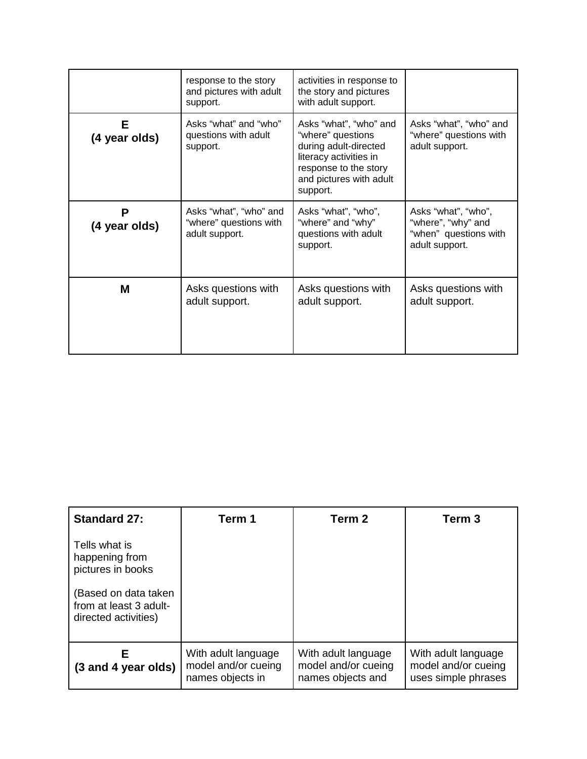|                    | response to the story<br>and pictures with adult<br>support.       | activities in response to<br>the story and pictures<br>with adult support.                                                                                     |                                                                                      |
|--------------------|--------------------------------------------------------------------|----------------------------------------------------------------------------------------------------------------------------------------------------------------|--------------------------------------------------------------------------------------|
| Е<br>(4 year olds) | Asks "what" and "who"<br>questions with adult<br>support.          | Asks "what", "who" and<br>"where" questions<br>during adult-directed<br>literacy activities in<br>response to the story<br>and pictures with adult<br>support. | Asks "what", "who" and<br>"where" questions with<br>adult support.                   |
| P<br>(4 year olds) | Asks "what", "who" and<br>"where" questions with<br>adult support. | Asks "what", "who",<br>"where" and "why"<br>questions with adult<br>support.                                                                                   | Asks "what", "who",<br>"where", "why" and<br>"when" questions with<br>adult support. |
| M                  | Asks questions with<br>adult support.                              | Asks questions with<br>adult support.                                                                                                                          | Asks questions with<br>adult support.                                                |

| <b>Standard 27:</b>                                                                                                            | Term 1                                                         | Term <sub>2</sub>                                               | Term 3                                                            |
|--------------------------------------------------------------------------------------------------------------------------------|----------------------------------------------------------------|-----------------------------------------------------------------|-------------------------------------------------------------------|
| Tells what is<br>happening from<br>pictures in books<br>(Based on data taken<br>from at least 3 adult-<br>directed activities) |                                                                |                                                                 |                                                                   |
| F<br>(3 and 4 year olds)                                                                                                       | With adult language<br>model and/or cueing<br>names objects in | With adult language<br>model and/or cueing<br>names objects and | With adult language<br>model and/or cueing<br>uses simple phrases |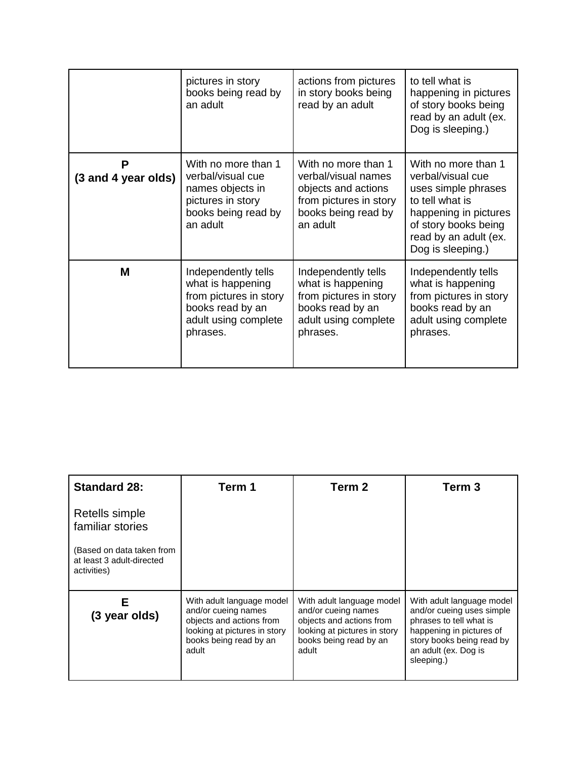|                          | pictures in story<br>books being read by<br>an adult                                                                       | actions from pictures<br>in story books being<br>read by an adult                                                              | to tell what is<br>happening in pictures<br>of story books being<br>read by an adult (ex.<br>Dog is sleeping.)                                                                    |
|--------------------------|----------------------------------------------------------------------------------------------------------------------------|--------------------------------------------------------------------------------------------------------------------------------|-----------------------------------------------------------------------------------------------------------------------------------------------------------------------------------|
| P<br>(3 and 4 year olds) | With no more than 1<br>verbal/visual cue<br>names objects in<br>pictures in story<br>books being read by<br>an adult       | With no more than 1<br>verbal/visual names<br>objects and actions<br>from pictures in story<br>books being read by<br>an adult | With no more than 1<br>verbal/visual cue<br>uses simple phrases<br>to tell what is<br>happening in pictures<br>of story books being<br>read by an adult (ex.<br>Dog is sleeping.) |
| M                        | Independently tells<br>what is happening<br>from pictures in story<br>books read by an<br>adult using complete<br>phrases. | Independently tells<br>what is happening<br>from pictures in story<br>books read by an<br>adult using complete<br>phrases.     | Independently tells<br>what is happening<br>from pictures in story<br>books read by an<br>adult using complete<br>phrases.                                                        |

| <b>Standard 28:</b>                                                   | Term 1                                                                                                                                          | Term 2                                                                                                                                          | Term 3                                                                                                                                                                           |
|-----------------------------------------------------------------------|-------------------------------------------------------------------------------------------------------------------------------------------------|-------------------------------------------------------------------------------------------------------------------------------------------------|----------------------------------------------------------------------------------------------------------------------------------------------------------------------------------|
| Retells simple<br>familiar stories                                    |                                                                                                                                                 |                                                                                                                                                 |                                                                                                                                                                                  |
| (Based on data taken from<br>at least 3 adult-directed<br>activities) |                                                                                                                                                 |                                                                                                                                                 |                                                                                                                                                                                  |
| F<br>(3 year olds)                                                    | With adult language model<br>and/or cueing names<br>objects and actions from<br>looking at pictures in story<br>books being read by an<br>adult | With adult language model<br>and/or cueing names<br>objects and actions from<br>looking at pictures in story<br>books being read by an<br>adult | With adult language model<br>and/or cueing uses simple<br>phrases to tell what is<br>happening in pictures of<br>story books being read by<br>an adult (ex. Dog is<br>sleeping.) |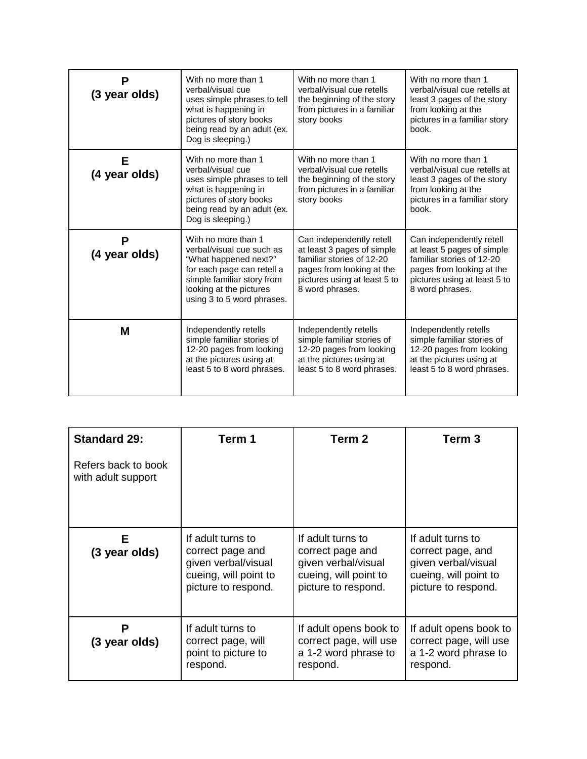| P<br>(3 year olds) | With no more than 1<br>verbal/visual cue<br>uses simple phrases to tell<br>what is happening in<br>pictures of story books<br>being read by an adult (ex.<br>Dog is sleeping.)                 | With no more than 1<br>verbal/visual cue retells<br>the beginning of the story<br>from pictures in a familiar<br>story books                                        | With no more than 1<br>verbal/visual cue retells at<br>least 3 pages of the story<br>from looking at the<br>pictures in a familiar story<br>book.                   |
|--------------------|------------------------------------------------------------------------------------------------------------------------------------------------------------------------------------------------|---------------------------------------------------------------------------------------------------------------------------------------------------------------------|---------------------------------------------------------------------------------------------------------------------------------------------------------------------|
| Е<br>(4 year olds) | With no more than 1<br>verbal/visual cue<br>uses simple phrases to tell<br>what is happening in<br>pictures of story books<br>being read by an adult (ex.<br>Dog is sleeping.)                 | With no more than 1<br>verbal/visual cue retells<br>the beginning of the story<br>from pictures in a familiar<br>story books                                        | With no more than 1<br>verbal/visual cue retells at<br>least 3 pages of the story<br>from looking at the<br>pictures in a familiar story<br>book.                   |
| Ρ<br>(4 year olds) | With no more than 1<br>verbal/visual cue such as<br>"What happened next?"<br>for each page can retell a<br>simple familiar story from<br>looking at the pictures<br>using 3 to 5 word phrases. | Can independently retell<br>at least 3 pages of simple<br>familiar stories of 12-20<br>pages from looking at the<br>pictures using at least 5 to<br>8 word phrases. | Can independently retell<br>at least 5 pages of simple<br>familiar stories of 12-20<br>pages from looking at the<br>pictures using at least 5 to<br>8 word phrases. |
| м                  | Independently retells<br>simple familiar stories of<br>12-20 pages from looking<br>at the pictures using at<br>least 5 to 8 word phrases.                                                      | Independently retells<br>simple familiar stories of<br>12-20 pages from looking<br>at the pictures using at<br>least 5 to 8 word phrases.                           | Independently retells<br>simple familiar stories of<br>12-20 pages from looking<br>at the pictures using at<br>least 5 to 8 word phrases.                           |

| <b>Standard 29:</b>                       | Term 1                                                                                                       | Term 2                                                                                                       | Term 3                                                                                                        |
|-------------------------------------------|--------------------------------------------------------------------------------------------------------------|--------------------------------------------------------------------------------------------------------------|---------------------------------------------------------------------------------------------------------------|
| Refers back to book<br>with adult support |                                                                                                              |                                                                                                              |                                                                                                               |
| Е<br>(3 year olds)                        | If adult turns to<br>correct page and<br>given verbal/visual<br>cueing, will point to<br>picture to respond. | If adult turns to<br>correct page and<br>given verbal/visual<br>cueing, will point to<br>picture to respond. | If adult turns to<br>correct page, and<br>given verbal/visual<br>cueing, will point to<br>picture to respond. |
| Ρ<br>(3 year olds)                        | If adult turns to<br>correct page, will<br>point to picture to<br>respond.                                   | If adult opens book to<br>correct page, will use<br>a 1-2 word phrase to<br>respond.                         | If adult opens book to<br>correct page, will use<br>a 1-2 word phrase to<br>respond.                          |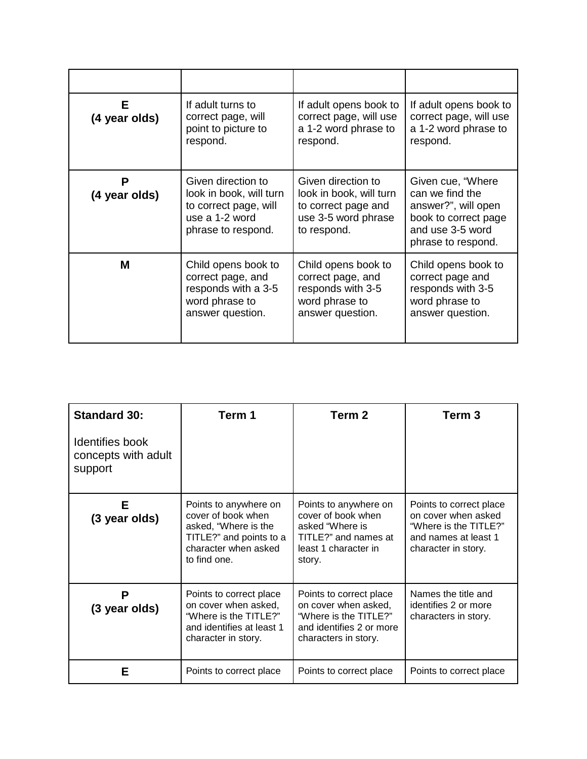| F<br>(4 year olds) | If adult turns to<br>correct page, will<br>point to picture to<br>respond.                                     | If adult opens book to<br>correct page, will use<br>a 1-2 word phrase to<br>respond.                       | If adult opens book to<br>correct page, will use<br>a 1-2 word phrase to<br>respond.                                           |
|--------------------|----------------------------------------------------------------------------------------------------------------|------------------------------------------------------------------------------------------------------------|--------------------------------------------------------------------------------------------------------------------------------|
| Р<br>(4 year olds) | Given direction to<br>look in book, will turn<br>to correct page, will<br>use a 1-2 word<br>phrase to respond. | Given direction to<br>look in book, will turn<br>to correct page and<br>use 3-5 word phrase<br>to respond. | Given cue, "Where"<br>can we find the<br>answer?", will open<br>book to correct page<br>and use 3-5 word<br>phrase to respond. |
| м                  | Child opens book to<br>correct page, and<br>responds with a 3-5<br>word phrase to<br>answer question.          | Child opens book to<br>correct page, and<br>responds with 3-5<br>word phrase to<br>answer question.        | Child opens book to<br>correct page and<br>responds with 3-5<br>word phrase to<br>answer question.                             |

| <b>Standard 30:</b>                               | Term 1                                                                                                                                 | Term 2                                                                                                                       | Term 3                                                                                                                 |
|---------------------------------------------------|----------------------------------------------------------------------------------------------------------------------------------------|------------------------------------------------------------------------------------------------------------------------------|------------------------------------------------------------------------------------------------------------------------|
| Identifies book<br>concepts with adult<br>support |                                                                                                                                        |                                                                                                                              |                                                                                                                        |
| Е<br>(3 year olds)                                | Points to anywhere on<br>cover of book when<br>asked, "Where is the<br>TITLE?" and points to a<br>character when asked<br>to find one. | Points to anywhere on<br>cover of book when<br>asked "Where is<br>TITLE?" and names at<br>least 1 character in<br>story.     | Points to correct place<br>on cover when asked<br>"Where is the TITLE?"<br>and names at least 1<br>character in story. |
| P<br>(3 year olds)                                | Points to correct place<br>on cover when asked,<br>"Where is the TITLE?"<br>and identifies at least 1<br>character in story.           | Points to correct place<br>on cover when asked,<br>"Where is the TITLE?"<br>and identifies 2 or more<br>characters in story. | Names the title and<br>identifies 2 or more<br>characters in story.                                                    |
| Е                                                 | Points to correct place                                                                                                                | Points to correct place                                                                                                      | Points to correct place                                                                                                |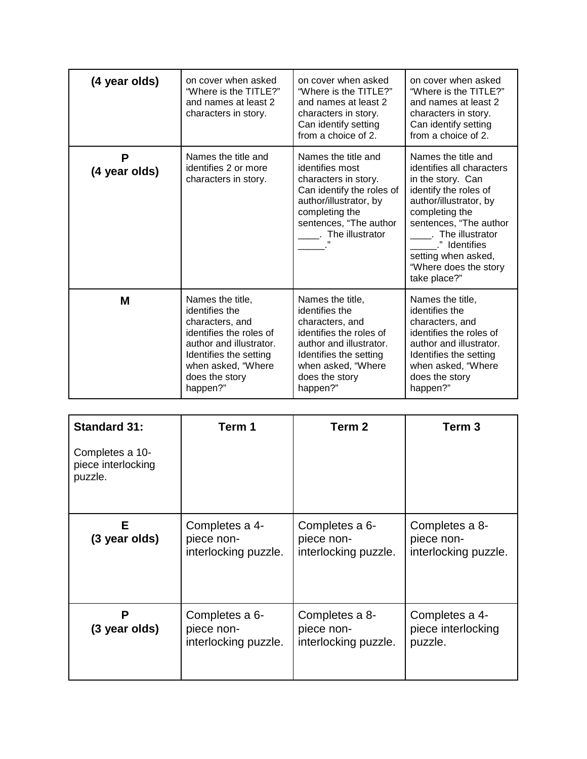| (4 year olds)      | on cover when asked<br>"Where is the TITLE?"<br>and names at least 2<br>characters in story.                                                                                              | on cover when asked<br>"Where is the TITLE?"<br>and names at least 2<br>characters in story.<br>Can identify setting<br>from a choice of 2.                                               | on cover when asked<br>"Where is the TITLE?"<br>and names at least 2<br>characters in story.<br>Can identify setting<br>from a choice of 2.                                                                                                                              |
|--------------------|-------------------------------------------------------------------------------------------------------------------------------------------------------------------------------------------|-------------------------------------------------------------------------------------------------------------------------------------------------------------------------------------------|--------------------------------------------------------------------------------------------------------------------------------------------------------------------------------------------------------------------------------------------------------------------------|
| P<br>(4 year olds) | Names the title and<br>identifies 2 or more<br>characters in story.                                                                                                                       | Names the title and<br>identifies most<br>characters in story.<br>Can identify the roles of<br>author/illustrator, by<br>completing the<br>sentences, "The author<br>. The illustrator    | Names the title and<br>identifies all characters<br>in the story. Can<br>identify the roles of<br>author/illustrator, by<br>completing the<br>sentences, "The author<br>The illustrator<br>." Identifies<br>setting when asked,<br>"Where does the story<br>take place?" |
| М                  | Names the title,<br>identifies the<br>characters, and<br>identifies the roles of<br>author and illustrator.<br>Identifies the setting<br>when asked, "Where<br>does the story<br>happen?" | Names the title,<br>identifies the<br>characters, and<br>identifies the roles of<br>author and illustrator.<br>Identifies the setting<br>when asked, "Where<br>does the story<br>happen?" | Names the title,<br>identifies the<br>characters, and<br>identifies the roles of<br>author and illustrator.<br>Identifies the setting<br>when asked, "Where<br>does the story<br>happen?"                                                                                |

| <b>Standard 31:</b>                              | Term 1                                               | Term 2                                               | Term <sub>3</sub>                                    |
|--------------------------------------------------|------------------------------------------------------|------------------------------------------------------|------------------------------------------------------|
| Completes a 10-<br>piece interlocking<br>puzzle. |                                                      |                                                      |                                                      |
| Е<br>(3 year olds)                               | Completes a 4-<br>piece non-<br>interlocking puzzle. | Completes a 6-<br>piece non-<br>interlocking puzzle. | Completes a 8-<br>piece non-<br>interlocking puzzle. |
| P<br>(3 year olds)                               | Completes a 6-<br>piece non-<br>interlocking puzzle. | Completes a 8-<br>piece non-<br>interlocking puzzle. | Completes a 4-<br>piece interlocking<br>puzzle.      |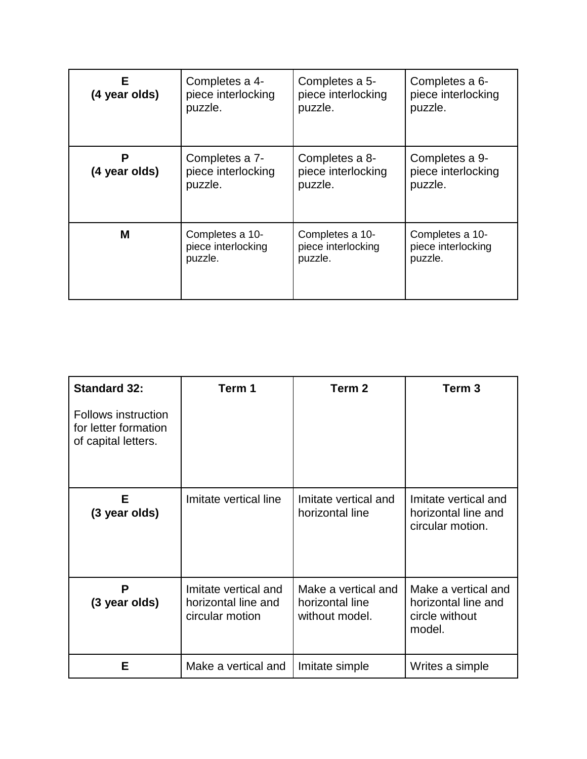| Е.<br>(4 year olds) | Completes a 4-<br>piece interlocking<br>puzzle.  | Completes a 5-<br>piece interlocking<br>puzzle.  | Completes a 6-<br>piece interlocking<br>puzzle.  |
|---------------------|--------------------------------------------------|--------------------------------------------------|--------------------------------------------------|
| Р<br>(4 year olds)  | Completes a 7-<br>piece interlocking<br>puzzle.  | Completes a 8-<br>piece interlocking<br>puzzle.  | Completes a 9-<br>piece interlocking<br>puzzle.  |
| М                   | Completes a 10-<br>piece interlocking<br>puzzle. | Completes a 10-<br>piece interlocking<br>puzzle. | Completes a 10-<br>piece interlocking<br>puzzle. |

| <b>Standard 32:</b>                                                       | Term 1                                                         | Term 2                                                   | Term 3                                                                 |
|---------------------------------------------------------------------------|----------------------------------------------------------------|----------------------------------------------------------|------------------------------------------------------------------------|
| <b>Follows instruction</b><br>for letter formation<br>of capital letters. |                                                                |                                                          |                                                                        |
| Е<br>(3 year olds)                                                        | Imitate vertical line                                          | Imitate vertical and<br>horizontal line                  | Imitate vertical and<br>horizontal line and<br>circular motion.        |
| P<br>(3 year olds)                                                        | Imitate vertical and<br>horizontal line and<br>circular motion | Make a vertical and<br>horizontal line<br>without model. | Make a vertical and<br>horizontal line and<br>circle without<br>model. |
| Е                                                                         | Make a vertical and                                            | Imitate simple                                           | Writes a simple                                                        |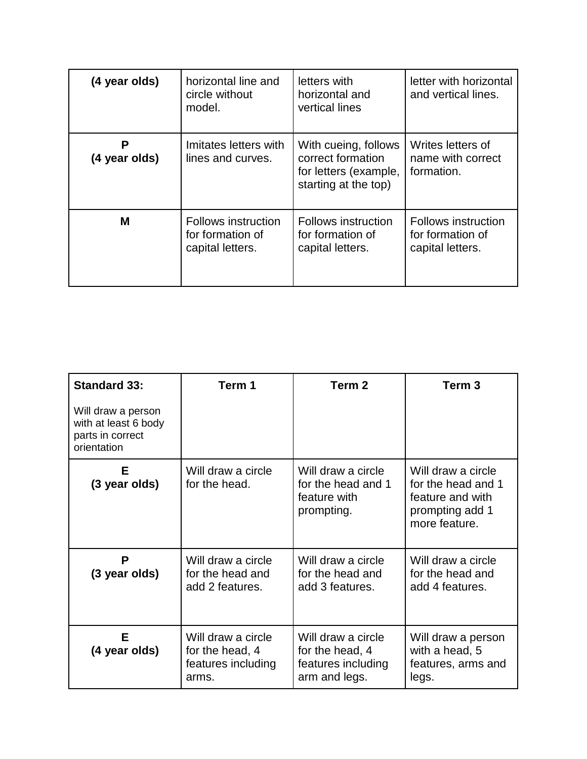| (4 year olds)      | horizontal line and<br>circle without<br>model.                    | letters with<br>horizontal and<br>vertical lines                                           | letter with horizontal<br>and vertical lines.               |
|--------------------|--------------------------------------------------------------------|--------------------------------------------------------------------------------------------|-------------------------------------------------------------|
| Р<br>(4 year olds) | Imitates letters with<br>lines and curves.                         | With cueing, follows<br>correct formation<br>for letters (example,<br>starting at the top) | Writes letters of<br>name with correct<br>formation.        |
| M                  | <b>Follows instruction</b><br>for formation of<br>capital letters. | Follows instruction<br>for formation of<br>capital letters.                                | Follows instruction<br>for formation of<br>capital letters. |

| <b>Standard 33:</b>                                                           | Term 1                                                               | Term <sub>2</sub>                                                            | Term 3                                                                                           |
|-------------------------------------------------------------------------------|----------------------------------------------------------------------|------------------------------------------------------------------------------|--------------------------------------------------------------------------------------------------|
| Will draw a person<br>with at least 6 body<br>parts in correct<br>orientation |                                                                      |                                                                              |                                                                                                  |
| Е<br>(3 year olds)                                                            | Will draw a circle<br>for the head.                                  | Will draw a circle<br>for the head and 1<br>feature with<br>prompting.       | Will draw a circle<br>for the head and 1<br>feature and with<br>prompting add 1<br>more feature. |
| P<br>(3 year olds)                                                            | Will draw a circle<br>for the head and<br>add 2 features.            | Will draw a circle<br>for the head and<br>add 3 features.                    | Will draw a circle<br>for the head and<br>add 4 features.                                        |
| Е<br>(4 year olds)                                                            | Will draw a circle<br>for the head, 4<br>features including<br>arms. | Will draw a circle<br>for the head, 4<br>features including<br>arm and legs. | Will draw a person<br>with a head, 5<br>features, arms and<br>legs.                              |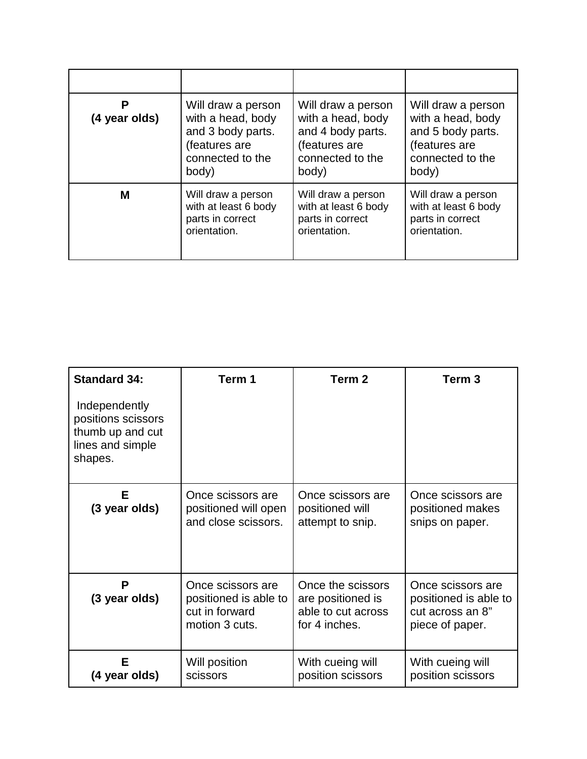| Р<br>(4 year olds) | Will draw a person<br>with a head, body<br>and 3 body parts.<br>(features are<br>connected to the<br>body) | Will draw a person<br>with a head, body<br>and 4 body parts.<br>(features are<br>connected to the<br>body) | Will draw a person<br>with a head, body<br>and 5 body parts.<br>(features are<br>connected to the<br>body) |
|--------------------|------------------------------------------------------------------------------------------------------------|------------------------------------------------------------------------------------------------------------|------------------------------------------------------------------------------------------------------------|
| м                  | Will draw a person<br>with at least 6 body<br>parts in correct<br>orientation.                             | Will draw a person<br>with at least 6 body<br>parts in correct<br>orientation.                             | Will draw a person<br>with at least 6 body<br>parts in correct<br>orientation.                             |

| <b>Standard 34:</b>                                                                    | Term 1                                                                         | Term <sub>2</sub>                                                             | Term <sub>3</sub>                                                                 |
|----------------------------------------------------------------------------------------|--------------------------------------------------------------------------------|-------------------------------------------------------------------------------|-----------------------------------------------------------------------------------|
| Independently<br>positions scissors<br>thumb up and cut<br>lines and simple<br>shapes. |                                                                                |                                                                               |                                                                                   |
| Е<br>(3 year olds)                                                                     | Once scissors are<br>positioned will open<br>and close scissors.               | Once scissors are<br>positioned will<br>attempt to snip.                      | Once scissors are<br>positioned makes<br>snips on paper.                          |
| P<br>(3 year olds)                                                                     | Once scissors are<br>positioned is able to<br>cut in forward<br>motion 3 cuts. | Once the scissors<br>are positioned is<br>able to cut across<br>for 4 inches. | Once scissors are<br>positioned is able to<br>cut across an 8"<br>piece of paper. |
| E<br>(4 year olds)                                                                     | Will position<br>scissors                                                      | With cueing will<br>position scissors                                         | With cueing will<br>position scissors                                             |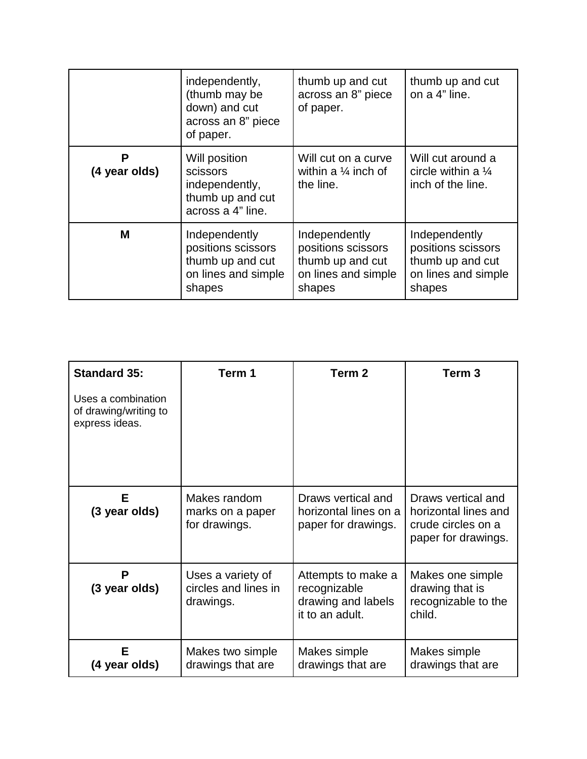|                    | independently,<br>(thumb may be<br>down) and cut<br>across an 8" piece<br>of paper.      | thumb up and cut<br>across an 8" piece<br>of paper.                                      | thumb up and cut<br>on a 4" line.                                                        |
|--------------------|------------------------------------------------------------------------------------------|------------------------------------------------------------------------------------------|------------------------------------------------------------------------------------------|
| P<br>(4 year olds) | Will position<br>scissors<br>independently,<br>thumb up and cut<br>across a 4" line.     | Will cut on a curve<br>within a $\frac{1}{4}$ inch of<br>the line.                       | Will cut around a<br>circle within a $\frac{1}{4}$<br>inch of the line.                  |
| м                  | Independently<br>positions scissors<br>thumb up and cut<br>on lines and simple<br>shapes | Independently<br>positions scissors<br>thumb up and cut<br>on lines and simple<br>shapes | Independently<br>positions scissors<br>thumb up and cut<br>on lines and simple<br>shapes |

| <b>Standard 35:</b>                                           | Term 1                                                 | Term 2                                                                      | Term <sub>3</sub>                                                                       |
|---------------------------------------------------------------|--------------------------------------------------------|-----------------------------------------------------------------------------|-----------------------------------------------------------------------------------------|
| Uses a combination<br>of drawing/writing to<br>express ideas. |                                                        |                                                                             |                                                                                         |
| Е<br>(3 year olds)                                            | Makes random<br>marks on a paper<br>for drawings.      | Draws vertical and<br>horizontal lines on a<br>paper for drawings.          | Draws vertical and<br>horizontal lines and<br>crude circles on a<br>paper for drawings. |
| P<br>(3 year olds)                                            | Uses a variety of<br>circles and lines in<br>drawings. | Attempts to make a<br>recognizable<br>drawing and labels<br>it to an adult. | Makes one simple<br>drawing that is<br>recognizable to the<br>child.                    |
| Е<br>(4 year olds)                                            | Makes two simple<br>drawings that are                  | Makes simple<br>drawings that are                                           | Makes simple<br>drawings that are                                                       |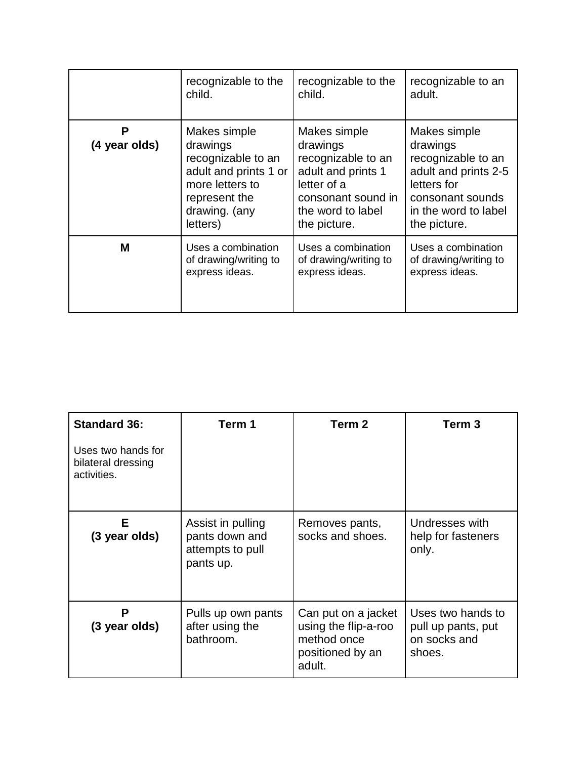|                    | recognizable to the                                                                                                                      | recognizable to the                                                                                                                            | recognizable to an                                                                                                                                |
|--------------------|------------------------------------------------------------------------------------------------------------------------------------------|------------------------------------------------------------------------------------------------------------------------------------------------|---------------------------------------------------------------------------------------------------------------------------------------------------|
|                    | child.                                                                                                                                   | child.                                                                                                                                         | adult.                                                                                                                                            |
| Р<br>(4 year olds) | Makes simple<br>drawings<br>recognizable to an<br>adult and prints 1 or<br>more letters to<br>represent the<br>drawing. (any<br>letters) | Makes simple<br>drawings<br>recognizable to an<br>adult and prints 1<br>letter of a<br>consonant sound in<br>the word to label<br>the picture. | Makes simple<br>drawings<br>recognizable to an<br>adult and prints 2-5<br>letters for<br>consonant sounds<br>in the word to label<br>the picture. |
| M                  | Uses a combination                                                                                                                       | Uses a combination                                                                                                                             | Uses a combination                                                                                                                                |
|                    | of drawing/writing to                                                                                                                    | of drawing/writing to                                                                                                                          | of drawing/writing to                                                                                                                             |
|                    | express ideas.                                                                                                                           | express ideas.                                                                                                                                 | express ideas.                                                                                                                                    |

| <b>Standard 36:</b>                                     | Term 1                                                               | Term <sub>2</sub>                                                                        | Term <sub>3</sub>                                                 |
|---------------------------------------------------------|----------------------------------------------------------------------|------------------------------------------------------------------------------------------|-------------------------------------------------------------------|
| Uses two hands for<br>bilateral dressing<br>activities. |                                                                      |                                                                                          |                                                                   |
| Е<br>(3 year olds)                                      | Assist in pulling<br>pants down and<br>attempts to pull<br>pants up. | Removes pants,<br>socks and shoes.                                                       | Undresses with<br>help for fasteners<br>only.                     |
| P<br>(3 year olds)                                      | Pulls up own pants<br>after using the<br>bathroom.                   | Can put on a jacket<br>using the flip-a-roo<br>method once<br>positioned by an<br>adult. | Uses two hands to<br>pull up pants, put<br>on socks and<br>shoes. |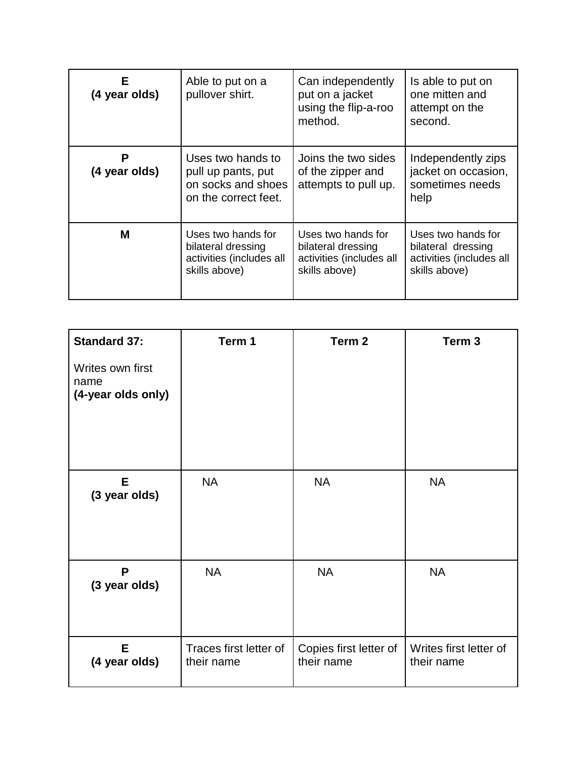| Е<br>(4 year olds) | Able to put on a<br>pullover shirt.                                                   | Can independently<br>put on a jacket<br>using the flip-a-roo<br>method.               | Is able to put on<br>one mitten and<br>attempt on the<br>second.                      |
|--------------------|---------------------------------------------------------------------------------------|---------------------------------------------------------------------------------------|---------------------------------------------------------------------------------------|
| Р<br>(4 year olds) | Uses two hands to<br>pull up pants, put<br>on socks and shoes<br>on the correct feet. | Joins the two sides<br>of the zipper and<br>attempts to pull up.                      | Independently zips<br>jacket on occasion,<br>sometimes needs<br>help                  |
| М                  | Uses two hands for<br>bilateral dressing<br>activities (includes all<br>skills above) | Uses two hands for<br>bilateral dressing<br>activities (includes all<br>skills above) | Uses two hands for<br>bilateral dressing<br>activities (includes all<br>skills above) |

| <b>Standard 37:</b>                            | Term 1                               | Term 2                               | Term <sub>3</sub>                    |
|------------------------------------------------|--------------------------------------|--------------------------------------|--------------------------------------|
| Writes own first<br>name<br>(4-year olds only) |                                      |                                      |                                      |
| E<br>(3 year olds)                             | <b>NA</b>                            | <b>NA</b>                            | <b>NA</b>                            |
| P<br>(3 year olds)                             | <b>NA</b>                            | <b>NA</b>                            | <b>NA</b>                            |
| E.<br>(4 year olds)                            | Traces first letter of<br>their name | Copies first letter of<br>their name | Writes first letter of<br>their name |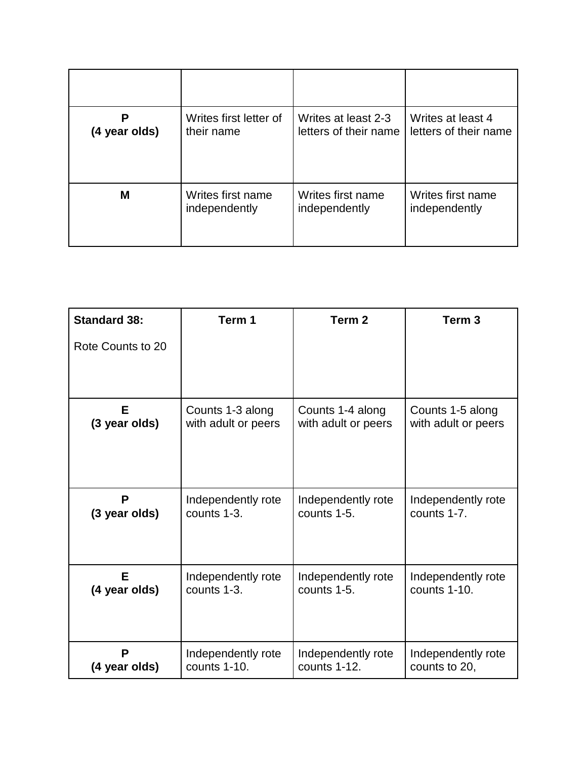| (4 year olds) | Writes first letter of | Writes at least 2-3   | Writes at least 4     |
|---------------|------------------------|-----------------------|-----------------------|
|               | their name             | letters of their name | letters of their name |
| М             | Writes first name      | Writes first name     | Writes first name     |
|               | independently          | independently         | independently         |

| <b>Standard 38:</b> | Term 1              | Term <sub>2</sub>   | Term <sub>3</sub>   |
|---------------------|---------------------|---------------------|---------------------|
| Rote Counts to 20   |                     |                     |                     |
|                     |                     |                     |                     |
| Е                   | Counts 1-3 along    | Counts 1-4 along    | Counts 1-5 along    |
| (3 year olds)       | with adult or peers | with adult or peers | with adult or peers |
| P                   | Independently rote  | Independently rote  | Independently rote  |
| (3 year olds)       | counts 1-3.         | counts 1-5.         | counts 1-7.         |
| Е                   | Independently rote  | Independently rote  | Independently rote  |
| (4 year olds)       | counts 1-3.         | counts 1-5.         | counts 1-10.        |
| P                   | Independently rote  | Independently rote  | Independently rote  |
| (4 year olds)       | counts 1-10.        | counts 1-12.        | counts to 20,       |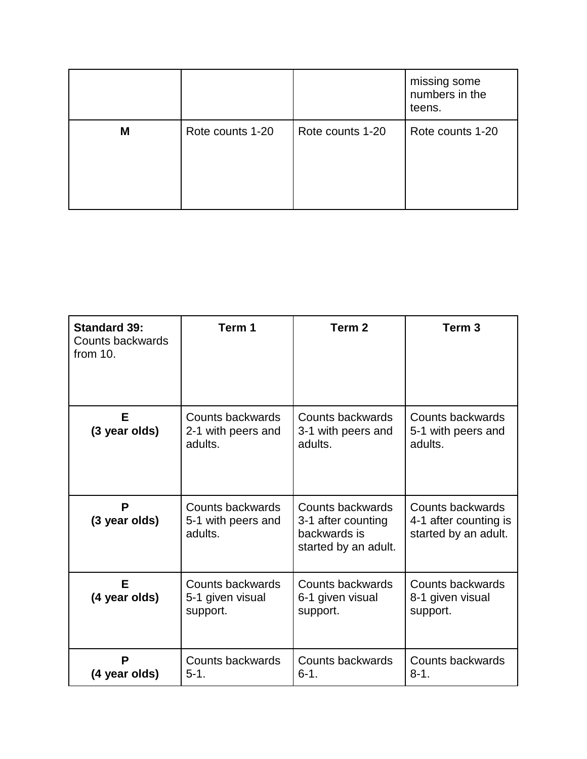|   |                  |                  | missing some<br>numbers in the<br>teens. |
|---|------------------|------------------|------------------------------------------|
| M | Rote counts 1-20 | Rote counts 1-20 | Rote counts 1-20                         |

| <b>Standard 39:</b><br>Counts backwards<br>from $10$ . | Term 1                                            | Term <sub>2</sub>                                                              | Term 3                                                            |
|--------------------------------------------------------|---------------------------------------------------|--------------------------------------------------------------------------------|-------------------------------------------------------------------|
| E.<br>(3 year olds)                                    | Counts backwards<br>2-1 with peers and<br>adults. | Counts backwards<br>3-1 with peers and<br>adults.                              | Counts backwards<br>5-1 with peers and<br>adults.                 |
| P<br>(3 year olds)                                     | Counts backwards<br>5-1 with peers and<br>adults. | Counts backwards<br>3-1 after counting<br>backwards is<br>started by an adult. | Counts backwards<br>4-1 after counting is<br>started by an adult. |
| Е<br>(4 year olds)                                     | Counts backwards<br>5-1 given visual<br>support.  | Counts backwards<br>6-1 given visual<br>support.                               | Counts backwards<br>8-1 given visual<br>support.                  |
| P<br>(4 year olds)                                     | Counts backwards<br>$5-1.$                        | Counts backwards<br>$6 - 1.$                                                   | Counts backwards<br>$8 - 1.$                                      |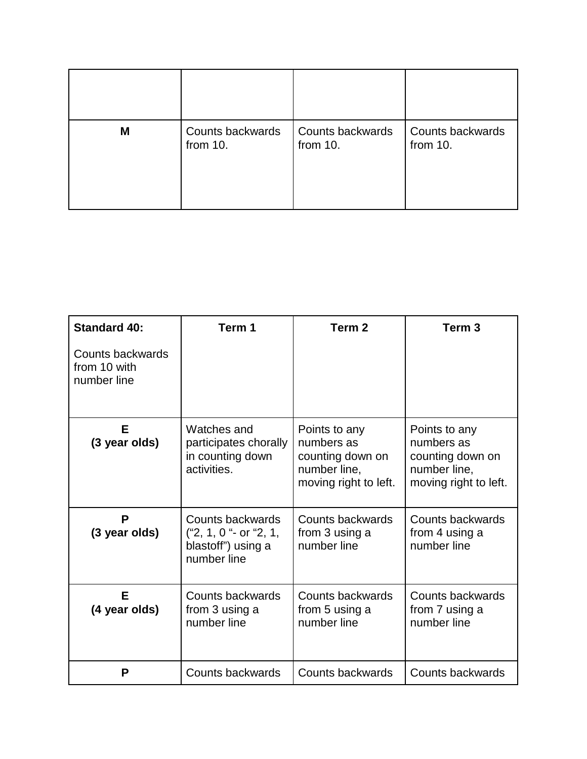| M | Counts backwards | Counts backwards | Counts backwards |
|---|------------------|------------------|------------------|
|   | from 10.         | from 10.         | from 10.         |

| <b>Standard 40:</b>                             | Term 1                                                                          | Term <sub>2</sub>                                                                        | Term <sub>3</sub>                                                                        |
|-------------------------------------------------|---------------------------------------------------------------------------------|------------------------------------------------------------------------------------------|------------------------------------------------------------------------------------------|
| Counts backwards<br>from 10 with<br>number line |                                                                                 |                                                                                          |                                                                                          |
| Е<br>(3 year olds)                              | Watches and<br>participates chorally<br>in counting down<br>activities.         | Points to any<br>numbers as<br>counting down on<br>number line,<br>moving right to left. | Points to any<br>numbers as<br>counting down on<br>number line,<br>moving right to left. |
| P<br>(3 year olds)                              | Counts backwards<br>("2, 1, 0 "- or "2, 1,<br>blastoff") using a<br>number line | Counts backwards<br>from 3 using a<br>number line                                        | Counts backwards<br>from 4 using a<br>number line                                        |
| E<br>(4 year olds)                              | Counts backwards<br>from 3 using a<br>number line                               | Counts backwards<br>from 5 using a<br>number line                                        | Counts backwards<br>from 7 using a<br>number line                                        |
| P                                               | Counts backwards                                                                | Counts backwards                                                                         | Counts backwards                                                                         |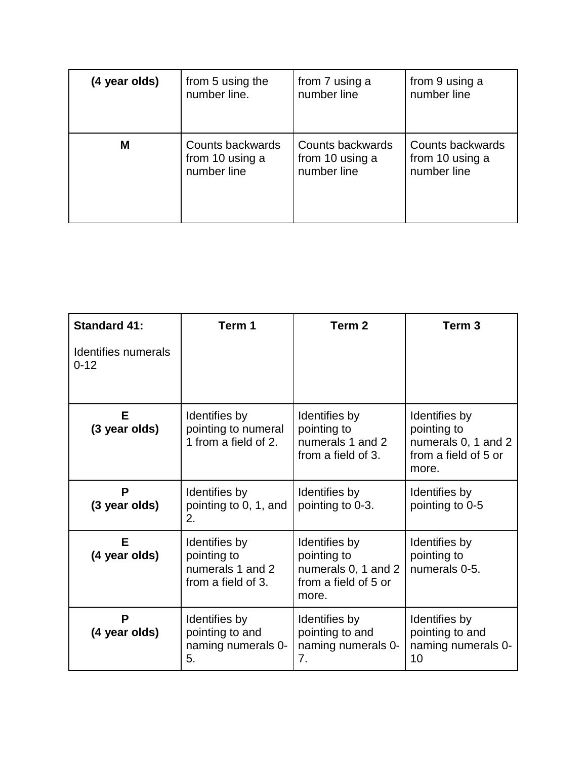| (4 year olds) | from 5 using the | from 7 using a   | from 9 using a   |
|---------------|------------------|------------------|------------------|
|               | number line.     | number line      | number line      |
| M             | Counts backwards | Counts backwards | Counts backwards |
|               | from 10 using a  | from 10 using a  | from 10 using a  |
|               | number line      | number line      | number line      |

| <b>Standard 41:</b>                    | Term 1                                                                 | Term 2                                                                               | Term <sub>3</sub>                                                                    |
|----------------------------------------|------------------------------------------------------------------------|--------------------------------------------------------------------------------------|--------------------------------------------------------------------------------------|
| <b>Identifies numerals</b><br>$0 - 12$ |                                                                        |                                                                                      |                                                                                      |
| E.<br>(3 year olds)                    | Identifies by<br>pointing to numeral<br>1 from a field of 2.           | Identifies by<br>pointing to<br>numerals 1 and 2<br>from a field of 3.               | Identifies by<br>pointing to<br>numerals 0, 1 and 2<br>from a field of 5 or<br>more. |
| P<br>(3 year olds)                     | Identifies by<br>pointing to 0, 1, and<br>2.                           | Identifies by<br>pointing to 0-3.                                                    | Identifies by<br>pointing to 0-5                                                     |
| Е<br>(4 year olds)                     | Identifies by<br>pointing to<br>numerals 1 and 2<br>from a field of 3. | Identifies by<br>pointing to<br>numerals 0, 1 and 2<br>from a field of 5 or<br>more. | Identifies by<br>pointing to<br>numerals 0-5.                                        |
| P<br>(4 year olds)                     | Identifies by<br>pointing to and<br>naming numerals 0-<br>5.           | Identifies by<br>pointing to and<br>naming numerals 0-<br>7 <sub>1</sub>             | Identifies by<br>pointing to and<br>naming numerals 0-<br>10                         |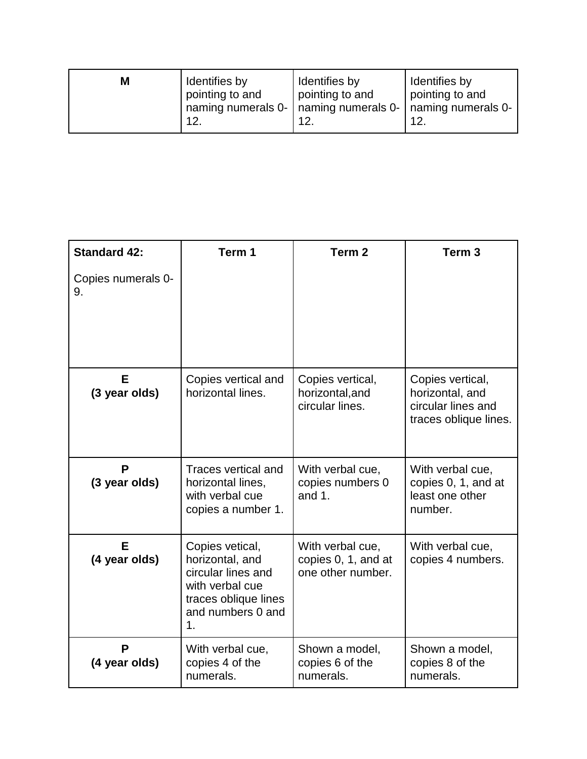| Μ | Identifies by   | Identifies by                                                | Identifies by   |
|---|-----------------|--------------------------------------------------------------|-----------------|
|   | pointing to and | pointing to and                                              | pointing to and |
|   | 12.             | naming numerals 0-   naming numerals 0-   naming numerals 0- | 12.             |

| <b>Standard 42:</b>      | Term 1                                                                                                                                    | Term <sub>2</sub>                                            | Term <sub>3</sub>                                                                  |
|--------------------------|-------------------------------------------------------------------------------------------------------------------------------------------|--------------------------------------------------------------|------------------------------------------------------------------------------------|
| Copies numerals 0-<br>9. |                                                                                                                                           |                                                              |                                                                                    |
| E<br>(3 year olds)       | Copies vertical and<br>horizontal lines.                                                                                                  | Copies vertical,<br>horizontal, and<br>circular lines.       | Copies vertical,<br>horizontal, and<br>circular lines and<br>traces oblique lines. |
| P<br>(3 year olds)       | Traces vertical and<br>horizontal lines,<br>with verbal cue<br>copies a number 1.                                                         | With verbal cue,<br>copies numbers 0<br>and $1.$             | With verbal cue,<br>copies 0, 1, and at<br>least one other<br>number.              |
| E<br>(4 year olds)       | Copies vetical,<br>horizontal, and<br>circular lines and<br>with verbal cue<br>traces oblique lines<br>and numbers 0 and<br>$\mathbf 1$ . | With verbal cue,<br>copies 0, 1, and at<br>one other number. | With verbal cue,<br>copies 4 numbers.                                              |
| P<br>(4 year olds)       | With verbal cue,<br>copies 4 of the<br>numerals.                                                                                          | Shown a model,<br>copies 6 of the<br>numerals.               | Shown a model,<br>copies 8 of the<br>numerals.                                     |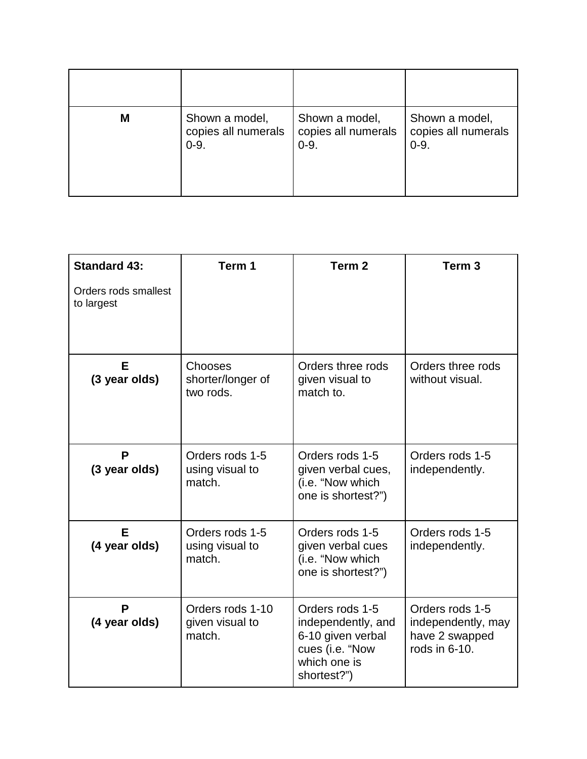| M | Shown a model,      | Shown a model,      | Shown a model,      |
|---|---------------------|---------------------|---------------------|
|   | copies all numerals | copies all numerals | copies all numerals |
|   | $0 - 9.$            | $0 - 9.$            | $0 - 9.$            |

| <b>Standard 43:</b>                | Term 1                                        | Term <sub>2</sub>                                                                                            | Term <sub>3</sub>                                                        |
|------------------------------------|-----------------------------------------------|--------------------------------------------------------------------------------------------------------------|--------------------------------------------------------------------------|
| Orders rods smallest<br>to largest |                                               |                                                                                                              |                                                                          |
| Е<br>(3 year olds)                 | Chooses<br>shorter/longer of<br>two rods.     | Orders three rods<br>given visual to<br>match to.                                                            | Orders three rods<br>without visual.                                     |
| P<br>(3 year olds)                 | Orders rods 1-5<br>using visual to<br>match.  | Orders rods 1-5<br>given verbal cues,<br>(i.e. "Now which<br>one is shortest?")                              | Orders rods 1-5<br>independently.                                        |
| E<br>(4 year olds)                 | Orders rods 1-5<br>using visual to<br>match.  | Orders rods 1-5<br>given verbal cues<br>(i.e. "Now which<br>one is shortest?")                               | Orders rods 1-5<br>independently.                                        |
| P<br>(4 year olds)                 | Orders rods 1-10<br>given visual to<br>match. | Orders rods 1-5<br>independently, and<br>6-10 given verbal<br>cues (i.e. "Now<br>which one is<br>shortest?") | Orders rods 1-5<br>independently, may<br>have 2 swapped<br>rods in 6-10. |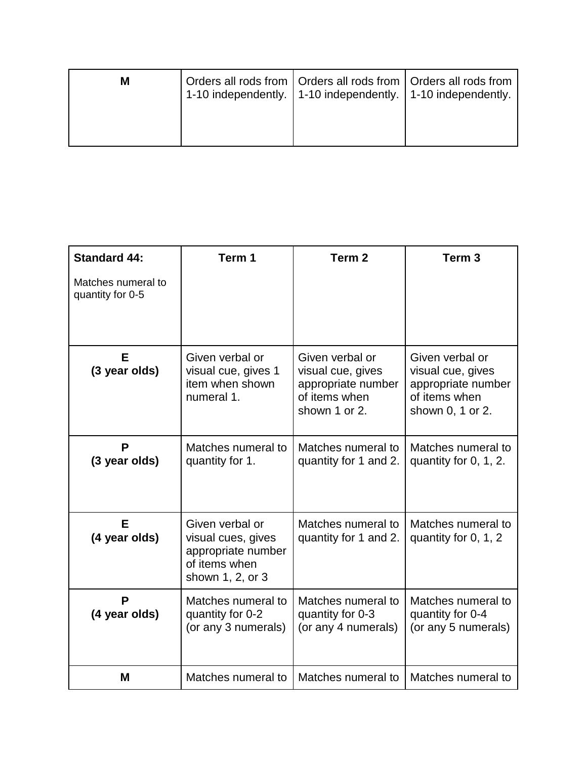| M | 1-10 independently. 1-10 independently. 1-10 independently. | Orders all rods from   Orders all rods from   Orders all rods from |  |
|---|-------------------------------------------------------------|--------------------------------------------------------------------|--|
|   |                                                             |                                                                    |  |

| <b>Standard 44:</b>                    | Term 1                                                                                           | Term <sub>2</sub>                                                                            | Term <sub>3</sub>                                                                               |
|----------------------------------------|--------------------------------------------------------------------------------------------------|----------------------------------------------------------------------------------------------|-------------------------------------------------------------------------------------------------|
| Matches numeral to<br>quantity for 0-5 |                                                                                                  |                                                                                              |                                                                                                 |
| Е<br>(3 year olds)                     | Given verbal or<br>visual cue, gives 1<br>item when shown<br>numeral 1.                          | Given verbal or<br>visual cue, gives<br>appropriate number<br>of items when<br>shown 1 or 2. | Given verbal or<br>visual cue, gives<br>appropriate number<br>of items when<br>shown 0, 1 or 2. |
| P<br>(3 year olds)                     | Matches numeral to<br>quantity for 1.                                                            | Matches numeral to<br>quantity for 1 and 2.                                                  | Matches numeral to<br>quantity for 0, 1, 2.                                                     |
| E<br>(4 year olds)                     | Given verbal or<br>visual cues, gives<br>appropriate number<br>of items when<br>shown 1, 2, or 3 | Matches numeral to<br>quantity for 1 and 2.                                                  | Matches numeral to<br>quantity for 0, 1, 2                                                      |
| P<br>(4 year olds)                     | Matches numeral to<br>quantity for 0-2<br>(or any 3 numerals)                                    | Matches numeral to<br>quantity for 0-3<br>(or any 4 numerals)                                | Matches numeral to<br>quantity for 0-4<br>(or any 5 numerals)                                   |
| M                                      | Matches numeral to                                                                               | Matches numeral to                                                                           | Matches numeral to                                                                              |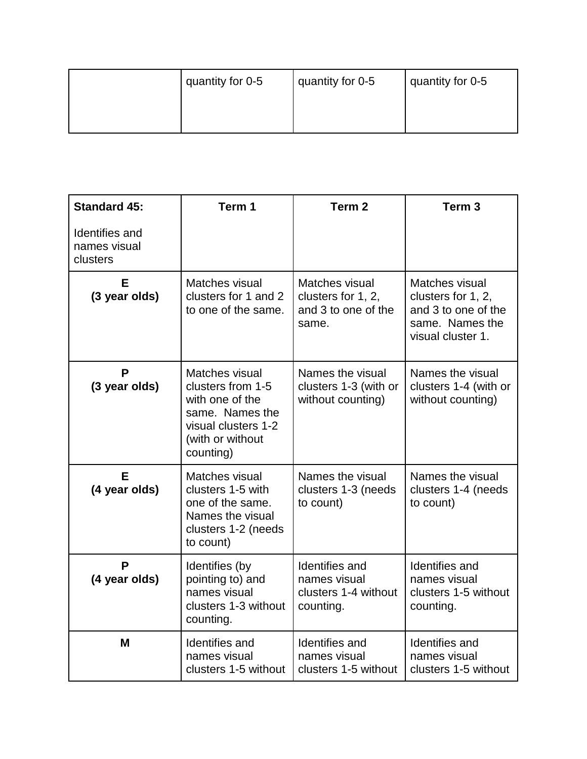| quantity for 0-5 | quantity for 0-5 | quantity for 0-5 |
|------------------|------------------|------------------|
|                  |                  |                  |
|                  |                  |                  |

| <b>Standard 45:</b>                        | Term 1                                                                                                                            | Term <sub>2</sub>                                                          | Term <sub>3</sub>                                                                                   |
|--------------------------------------------|-----------------------------------------------------------------------------------------------------------------------------------|----------------------------------------------------------------------------|-----------------------------------------------------------------------------------------------------|
| Identifies and<br>names visual<br>clusters |                                                                                                                                   |                                                                            |                                                                                                     |
| Е<br>(3 year olds)                         | Matches visual<br>clusters for 1 and 2<br>to one of the same.                                                                     | Matches visual<br>clusters for 1, 2,<br>and 3 to one of the<br>same.       | Matches visual<br>clusters for 1, 2,<br>and 3 to one of the<br>same. Names the<br>visual cluster 1. |
| P<br>(3 year olds)                         | Matches visual<br>clusters from 1-5<br>with one of the<br>same. Names the<br>visual clusters 1-2<br>(with or without<br>counting) | Names the visual<br>clusters 1-3 (with or<br>without counting)             | Names the visual<br>clusters 1-4 (with or<br>without counting)                                      |
| Е<br>(4 year olds)                         | Matches visual<br>clusters 1-5 with<br>one of the same.<br>Names the visual<br>clusters 1-2 (needs<br>to count)                   | Names the visual<br>clusters 1-3 (needs<br>to count)                       | Names the visual<br>clusters 1-4 (needs<br>to count)                                                |
| P<br>(4 year olds)                         | Identifies (by<br>pointing to) and<br>names visual<br>clusters 1-3 without<br>counting.                                           | <b>Identifies and</b><br>names visual<br>clusters 1-4 without<br>counting. | Identifies and<br>names visual<br>clusters 1-5 without<br>counting.                                 |
| M                                          | <b>Identifies and</b><br>names visual<br>clusters 1-5 without                                                                     | Identifies and<br>names visual<br>clusters 1-5 without                     | Identifies and<br>names visual<br>clusters 1-5 without                                              |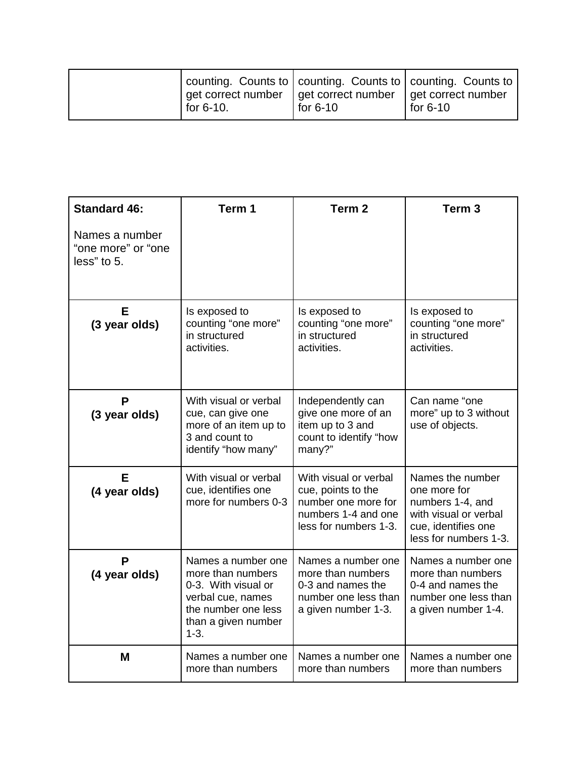| for $6-10$ . | counting. Counts to   counting. Counts to   counting. Counts to<br>get correct number $\vert$ get correct number $\vert$ get correct number<br>for 6-10 | for $6-10$ |
|--------------|---------------------------------------------------------------------------------------------------------------------------------------------------------|------------|
|--------------|---------------------------------------------------------------------------------------------------------------------------------------------------------|------------|

| <b>Standard 46:</b>                                 | Term 1                                                                                                                                        | Term <sub>2</sub>                                                                                                  | Term <sub>3</sub>                                                                                                             |
|-----------------------------------------------------|-----------------------------------------------------------------------------------------------------------------------------------------------|--------------------------------------------------------------------------------------------------------------------|-------------------------------------------------------------------------------------------------------------------------------|
| Names a number<br>"one more" or "one<br>less" to 5. |                                                                                                                                               |                                                                                                                    |                                                                                                                               |
| Е<br>(3 year olds)                                  | Is exposed to<br>counting "one more"<br>in structured<br>activities.                                                                          | Is exposed to<br>counting "one more"<br>in structured<br>activities.                                               | Is exposed to<br>counting "one more"<br>in structured<br>activities.                                                          |
| P<br>(3 year olds)                                  | With visual or verbal<br>cue, can give one<br>more of an item up to<br>3 and count to<br>identify "how many"                                  | Independently can<br>give one more of an<br>item up to 3 and<br>count to identify "how<br>many?"                   | Can name "one<br>more" up to 3 without<br>use of objects.                                                                     |
| Е<br>(4 year olds)                                  | With visual or verbal<br>cue, identifies one<br>more for numbers 0-3                                                                          | With visual or verbal<br>cue, points to the<br>number one more for<br>numbers 1-4 and one<br>less for numbers 1-3. | Names the number<br>one more for<br>numbers 1-4, and<br>with visual or verbal<br>cue, identifies one<br>less for numbers 1-3. |
| P<br>(4 year olds)                                  | Names a number one<br>more than numbers<br>0-3. With visual or<br>verbal cue, names<br>the number one less<br>than a given number<br>$1 - 3.$ | Names a number one<br>more than numbers<br>0-3 and names the<br>number one less than<br>a given number 1-3.        | Names a number one<br>more than numbers<br>0-4 and names the<br>number one less than<br>a given number 1-4.                   |
| M                                                   | Names a number one<br>more than numbers                                                                                                       | Names a number one<br>more than numbers                                                                            | Names a number one<br>more than numbers                                                                                       |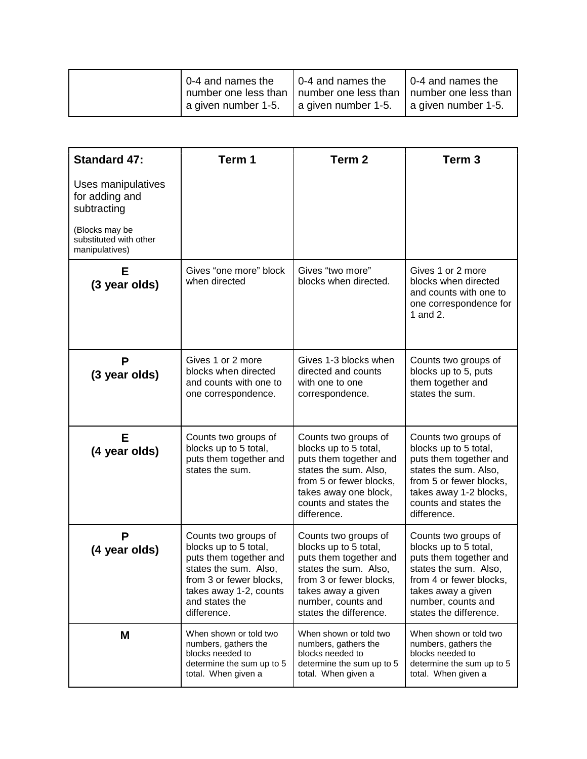|  | 0-4 and names the   | $\vert$ 0-4 and names the<br>number one less than   number one less than   number one less than | $\vert$ 0-4 and names the |
|--|---------------------|-------------------------------------------------------------------------------------------------|---------------------------|
|  | a given number 1-5. | a given number 1-5.                                                                             | a given number 1-5.       |

| <b>Standard 47:</b>                                        | Term 1                                                                                                                                                                                 | Term <sub>2</sub>                                                                                                                                                                                 | Term <sub>3</sub>                                                                                                                                                                                 |
|------------------------------------------------------------|----------------------------------------------------------------------------------------------------------------------------------------------------------------------------------------|---------------------------------------------------------------------------------------------------------------------------------------------------------------------------------------------------|---------------------------------------------------------------------------------------------------------------------------------------------------------------------------------------------------|
| Uses manipulatives<br>for adding and<br>subtracting        |                                                                                                                                                                                        |                                                                                                                                                                                                   |                                                                                                                                                                                                   |
| (Blocks may be<br>substituted with other<br>manipulatives) |                                                                                                                                                                                        |                                                                                                                                                                                                   |                                                                                                                                                                                                   |
| Е<br>(3 year olds)                                         | Gives "one more" block<br>when directed                                                                                                                                                | Gives "two more"<br>blocks when directed.                                                                                                                                                         | Gives 1 or 2 more<br>blocks when directed<br>and counts with one to<br>one correspondence for<br>1 and 2.                                                                                         |
| P<br>(3 year olds)                                         | Gives 1 or 2 more<br>blocks when directed<br>and counts with one to<br>one correspondence.                                                                                             | Gives 1-3 blocks when<br>directed and counts<br>with one to one<br>correspondence.                                                                                                                | Counts two groups of<br>blocks up to 5, puts<br>them together and<br>states the sum.                                                                                                              |
| Е<br>(4 year olds)                                         | Counts two groups of<br>blocks up to 5 total,<br>puts them together and<br>states the sum.                                                                                             | Counts two groups of<br>blocks up to 5 total,<br>puts them together and<br>states the sum. Also,<br>from 5 or fewer blocks,<br>takes away one block,<br>counts and states the<br>difference.      | Counts two groups of<br>blocks up to 5 total,<br>puts them together and<br>states the sum. Also,<br>from 5 or fewer blocks,<br>takes away 1-2 blocks,<br>counts and states the<br>difference.     |
| P<br>(4 year olds)                                         | Counts two groups of<br>blocks up to 5 total,<br>puts them together and<br>states the sum. Also,<br>from 3 or fewer blocks,<br>takes away 1-2, counts<br>and states the<br>difference. | Counts two groups of<br>blocks up to 5 total,<br>puts them together and<br>states the sum. Also,<br>from 3 or fewer blocks,<br>takes away a given<br>number, counts and<br>states the difference. | Counts two groups of<br>blocks up to 5 total,<br>puts them together and<br>states the sum. Also,<br>from 4 or fewer blocks,<br>takes away a given<br>number, counts and<br>states the difference. |
| M                                                          | When shown or told two<br>numbers, gathers the<br>blocks needed to<br>determine the sum up to 5<br>total. When given a                                                                 | When shown or told two<br>numbers, gathers the<br>blocks needed to<br>determine the sum up to 5<br>total. When given a                                                                            | When shown or told two<br>numbers, gathers the<br>blocks needed to<br>determine the sum up to 5<br>total. When given a                                                                            |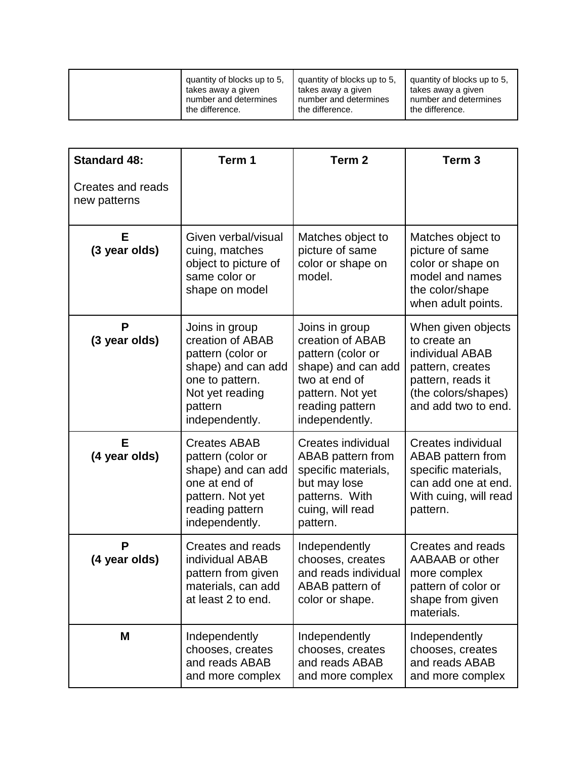| quantity of blocks up to 5. | quantity of blocks up to 5. | quantity of blocks up to 5. |
|-----------------------------|-----------------------------|-----------------------------|
| takes away a given          | takes away a given          | takes away a given          |
| number and determines       | number and determines       | number and determines       |
| the difference.             | the difference.             | the difference.             |

| <b>Standard 48:</b>               | Term 1                                                                                                                                           | Term <sub>2</sub>                                                                                                                                       | Term <sub>3</sub>                                                                                                                            |
|-----------------------------------|--------------------------------------------------------------------------------------------------------------------------------------------------|---------------------------------------------------------------------------------------------------------------------------------------------------------|----------------------------------------------------------------------------------------------------------------------------------------------|
| Creates and reads<br>new patterns |                                                                                                                                                  |                                                                                                                                                         |                                                                                                                                              |
| E<br>(3 year olds)                | Given verbal/visual<br>cuing, matches<br>object to picture of<br>same color or<br>shape on model                                                 | Matches object to<br>picture of same<br>color or shape on<br>model.                                                                                     | Matches object to<br>picture of same<br>color or shape on<br>model and names<br>the color/shape<br>when adult points.                        |
| P<br>(3 year olds)                | Joins in group<br>creation of ABAB<br>pattern (color or<br>shape) and can add<br>one to pattern.<br>Not yet reading<br>pattern<br>independently. | Joins in group<br>creation of ABAB<br>pattern (color or<br>shape) and can add<br>two at end of<br>pattern. Not yet<br>reading pattern<br>independently. | When given objects<br>to create an<br>individual ABAB<br>pattern, creates<br>pattern, reads it<br>(the colors/shapes)<br>and add two to end. |
| E<br>(4 year olds)                | <b>Creates ABAB</b><br>pattern (color or<br>shape) and can add<br>one at end of<br>pattern. Not yet<br>reading pattern<br>independently.         | <b>Creates individual</b><br>ABAB pattern from<br>specific materials,<br>but may lose<br>patterns. With<br>cuing, will read<br>pattern.                 | Creates individual<br>ABAB pattern from<br>specific materials,<br>can add one at end.<br>With cuing, will read<br>pattern.                   |
| P<br>(4 year olds)                | Creates and reads<br>individual ABAB<br>pattern from given<br>materials, can add<br>at least 2 to end.                                           | Independently<br>chooses, creates<br>and reads individual<br>ABAB pattern of<br>color or shape.                                                         | Creates and reads<br>AABAAB or other<br>more complex<br>pattern of color or<br>shape from given<br>materials.                                |
| M                                 | Independently<br>chooses, creates<br>and reads ABAB<br>and more complex                                                                          | Independently<br>chooses, creates<br>and reads ABAB<br>and more complex                                                                                 | Independently<br>chooses, creates<br>and reads ABAB<br>and more complex                                                                      |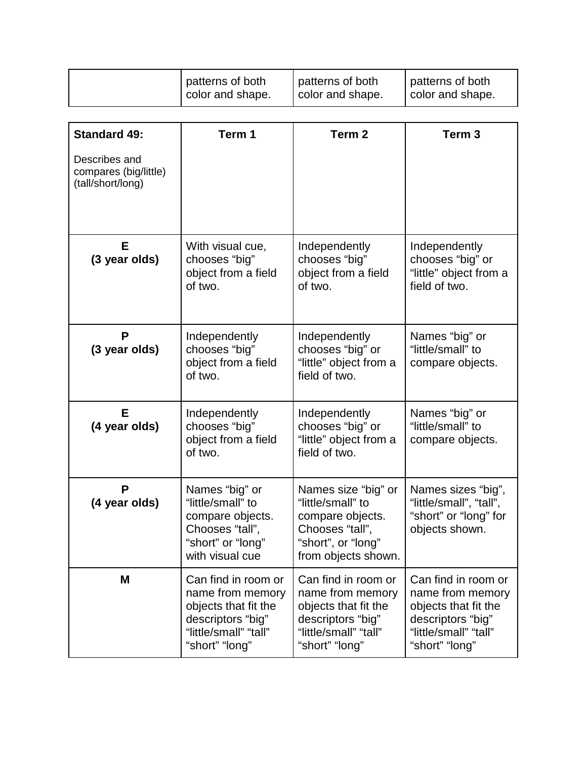| patterns of both | patterns of both   | patterns of both |
|------------------|--------------------|------------------|
| color and shape. | I color and shape. | color and shape. |
|                  |                    |                  |

| <b>Standard 49:</b>                                         | Term 1                                                                                                                          | Term <sub>2</sub>                                                                                                               | Term <sub>3</sub>                                                                                                               |
|-------------------------------------------------------------|---------------------------------------------------------------------------------------------------------------------------------|---------------------------------------------------------------------------------------------------------------------------------|---------------------------------------------------------------------------------------------------------------------------------|
| Describes and<br>compares (big/little)<br>(tall/short/long) |                                                                                                                                 |                                                                                                                                 |                                                                                                                                 |
| Е<br>(3 year olds)                                          | With visual cue,<br>chooses "big"<br>object from a field<br>of two.                                                             | Independently<br>chooses "big"<br>object from a field<br>of two.                                                                | Independently<br>chooses "big" or<br>"little" object from a<br>field of two.                                                    |
| P<br>(3 year olds)                                          | Independently<br>chooses "big"<br>object from a field<br>of two.                                                                | Independently<br>chooses "big" or<br>"little" object from a<br>field of two.                                                    | Names "big" or<br>"little/small" to<br>compare objects.                                                                         |
| Е<br>(4 year olds)                                          | Independently<br>chooses "big"<br>object from a field<br>of two.                                                                | Independently<br>chooses "big" or<br>"little" object from a<br>field of two.                                                    | Names "big" or<br>"little/small" to<br>compare objects.                                                                         |
| P<br>(4 year olds)                                          | Names "big" or<br>"little/small" to<br>compare objects.<br>Chooses "tall",<br>"short" or "long"<br>with visual cue              | Names size "big" or<br>"little/small" to<br>compare objects.<br>Chooses "tall",<br>"short", or "long"<br>from objects shown.    | Names sizes "big",<br>"little/small", "tall",<br>"short" or "long" for<br>objects shown.                                        |
| M                                                           | Can find in room or<br>name from memory<br>objects that fit the<br>descriptors "big"<br>"little/small" "tall"<br>"short" "long" | Can find in room or<br>name from memory<br>objects that fit the<br>descriptors "big"<br>"little/small" "tall"<br>"short" "long" | Can find in room or<br>name from memory<br>objects that fit the<br>descriptors "big"<br>"little/small" "tall"<br>"short" "long" |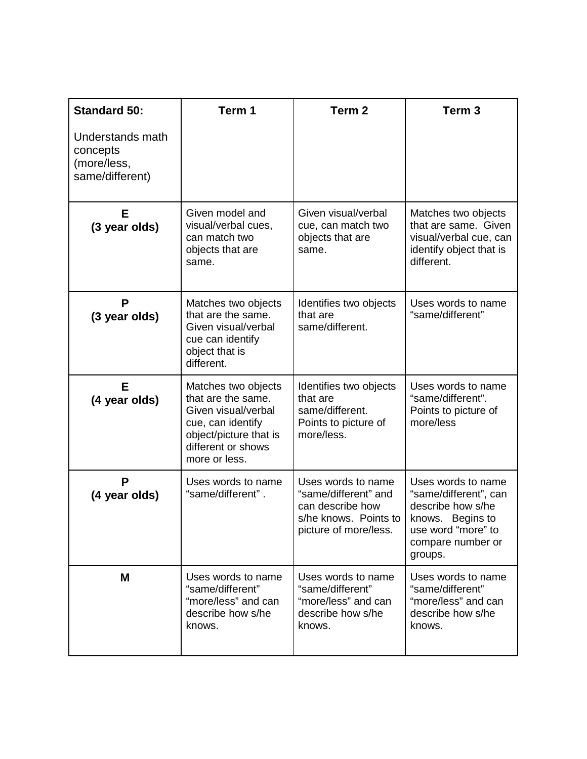| <b>Standard 50:</b>                                            | Term 1                                                                                                                                                 | Term <sub>2</sub>                                                                                                | Term <sub>3</sub>                                                                                                                          |
|----------------------------------------------------------------|--------------------------------------------------------------------------------------------------------------------------------------------------------|------------------------------------------------------------------------------------------------------------------|--------------------------------------------------------------------------------------------------------------------------------------------|
| Understands math<br>concepts<br>(more/less,<br>same/different) |                                                                                                                                                        |                                                                                                                  |                                                                                                                                            |
| Е<br>(3 year olds)                                             | Given model and<br>visual/verbal cues,<br>can match two<br>objects that are<br>same.                                                                   | Given visual/verbal<br>cue, can match two<br>objects that are<br>same.                                           | Matches two objects<br>that are same. Given<br>visual/verbal cue, can<br>identify object that is<br>different.                             |
| P<br>(3 year olds)                                             | Matches two objects<br>that are the same.<br>Given visual/verbal<br>cue can identify<br>object that is<br>different.                                   | Identifies two objects<br>that are<br>same/different.                                                            | Uses words to name<br>"same/different"                                                                                                     |
| Е<br>(4 year olds)                                             | Matches two objects<br>that are the same.<br>Given visual/verbal<br>cue, can identify<br>object/picture that is<br>different or shows<br>more or less. | Identifies two objects<br>that are<br>same/different.<br>Points to picture of<br>more/less.                      | Uses words to name<br>"same/different".<br>Points to picture of<br>more/less                                                               |
| P<br>(4 year olds)                                             | Uses words to name<br>"same/different".                                                                                                                | Uses words to name<br>"same/different" and<br>can describe how<br>s/he knows. Points to<br>picture of more/less. | Uses words to name<br>"same/different", can<br>describe how s/he<br>knows. Begins to<br>use word "more" to<br>compare number or<br>groups. |
| M                                                              | Uses words to name<br>"same/different"<br>"more/less" and can<br>describe how s/he<br>knows.                                                           | Uses words to name<br>"same/different"<br>"more/less" and can<br>describe how s/he<br>knows.                     | Uses words to name<br>"same/different"<br>"more/less" and can<br>describe how s/he<br>knows.                                               |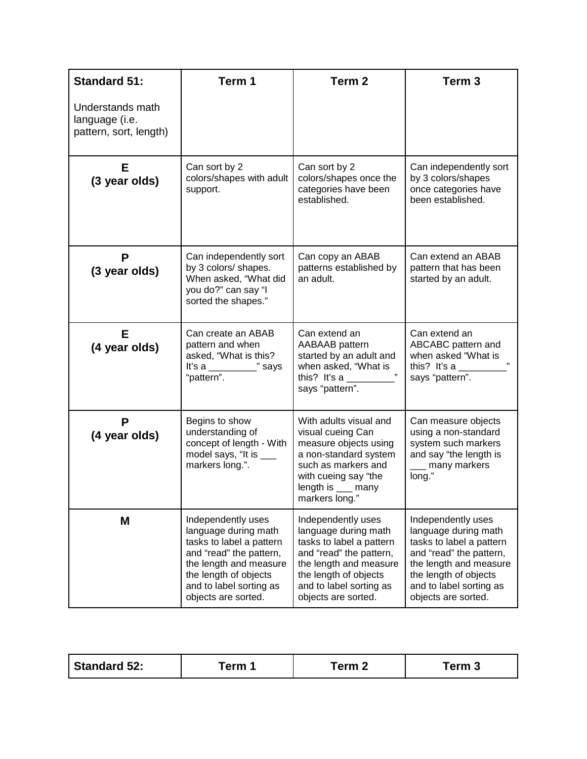| <b>Standard 51:</b>                                          | Term 1                                                                                                                                                                                                 | Term <sub>2</sub>                                                                                                                                                                                      | Term <sub>3</sub>                                                                                                                                                                                      |
|--------------------------------------------------------------|--------------------------------------------------------------------------------------------------------------------------------------------------------------------------------------------------------|--------------------------------------------------------------------------------------------------------------------------------------------------------------------------------------------------------|--------------------------------------------------------------------------------------------------------------------------------------------------------------------------------------------------------|
| Understands math<br>language (i.e.<br>pattern, sort, length) |                                                                                                                                                                                                        |                                                                                                                                                                                                        |                                                                                                                                                                                                        |
| Е<br>(3 year olds)                                           | Can sort by 2<br>colors/shapes with adult<br>support.                                                                                                                                                  | Can sort by 2<br>colors/shapes once the<br>categories have been<br>established.                                                                                                                        | Can independently sort<br>by 3 colors/shapes<br>once categories have<br>been established.                                                                                                              |
| P<br>(3 year olds)                                           | Can independently sort<br>by 3 colors/ shapes.<br>When asked, "What did<br>you do?" can say "I<br>sorted the shapes."                                                                                  | Can copy an ABAB<br>patterns established by<br>an adult.                                                                                                                                               | Can extend an ABAB<br>pattern that has been<br>started by an adult.                                                                                                                                    |
| Е<br>(4 year olds)                                           | Can create an ABAB<br>pattern and when<br>asked, "What is this?<br>It's a $\frac{1}{2}$ says<br>"pattern".                                                                                             | Can extend an<br>AABAAB pattern<br>started by an adult and<br>when asked, "What is<br>this? It's a $\frac{1}{2}$<br>says "pattern".                                                                    | Can extend an<br>ABCABC pattern and<br>when asked "What is<br>this? It's a $\frac{1}{2}$<br>says "pattern".                                                                                            |
| P<br>(4 year olds)                                           | Begins to show<br>understanding of<br>concept of length - With<br>model says, "It is ___<br>markers long.".                                                                                            | With adults visual and<br>visual cueing Can<br>measure objects using<br>a non-standard system<br>such as markers and<br>with cueing say "the<br>length is ___ many<br>markers long."                   | Can measure objects<br>using a non-standard<br>system such markers<br>and say "the length is<br>_ many markers<br>long."                                                                               |
| M                                                            | Independently uses<br>language during math<br>tasks to label a pattern<br>and "read" the pattern,<br>the length and measure<br>the length of objects<br>and to label sorting as<br>objects are sorted. | Independently uses<br>language during math<br>tasks to label a pattern<br>and "read" the pattern,<br>the length and measure<br>the length of objects<br>and to label sorting as<br>objects are sorted. | Independently uses<br>language during math<br>tasks to label a pattern<br>and "read" the pattern,<br>the length and measure<br>the length of objects<br>and to label sorting as<br>objects are sorted. |

| <b>Standard 52:</b><br>erm 1 | ∆rm | ⊺erm 3 |
|------------------------------|-----|--------|
|------------------------------|-----|--------|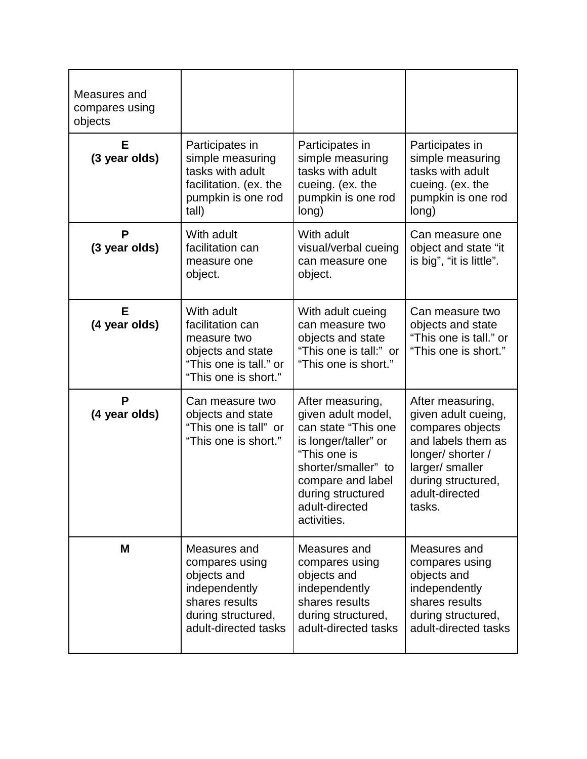| Measures and<br>compares using<br>objects |                                                                                                                                |                                                                                                                                                                                                         |                                                                                                                                                                             |
|-------------------------------------------|--------------------------------------------------------------------------------------------------------------------------------|---------------------------------------------------------------------------------------------------------------------------------------------------------------------------------------------------------|-----------------------------------------------------------------------------------------------------------------------------------------------------------------------------|
| Е<br>(3 year olds)                        | Participates in<br>simple measuring<br>tasks with adult<br>facilitation. (ex. the<br>pumpkin is one rod<br>tall)               | Participates in<br>simple measuring<br>tasks with adult<br>cueing. (ex. the<br>pumpkin is one rod<br>long)                                                                                              | Participates in<br>simple measuring<br>tasks with adult<br>cueing. (ex. the<br>pumpkin is one rod<br>long)                                                                  |
| P<br>(3 year olds)                        | With adult<br>facilitation can<br>measure one<br>object.                                                                       | With adult<br>visual/verbal cueing<br>can measure one<br>object.                                                                                                                                        | Can measure one<br>object and state "it<br>is big", "it is little".                                                                                                         |
| Е<br>(4 year olds)                        | With adult<br>facilitation can<br>measure two<br>objects and state<br>"This one is tall." or<br>"This one is short."           | With adult cueing<br>can measure two<br>objects and state<br>"This one is tall:" or<br>"This one is short."                                                                                             | Can measure two<br>objects and state<br>"This one is tall." or<br>"This one is short."                                                                                      |
| P<br>(4 year olds)                        | Can measure two<br>objects and state<br>"This one is tall" or<br>"This one is short."                                          | After measuring,<br>given adult model,<br>can state "This one<br>is longer/taller" or<br>"This one is<br>shorter/smaller" to<br>compare and label<br>during structured<br>adult-directed<br>activities. | After measuring,<br>given adult cueing,<br>compares objects<br>and labels them as<br>longer/ shorter /<br>larger/ smaller<br>during structured,<br>adult-directed<br>tasks. |
| M                                         | Measures and<br>compares using<br>objects and<br>independently<br>shares results<br>during structured,<br>adult-directed tasks | Measures and<br>compares using<br>objects and<br>independently<br>shares results<br>during structured,<br>adult-directed tasks                                                                          | Measures and<br>compares using<br>objects and<br>independently<br>shares results<br>during structured,<br>adult-directed tasks                                              |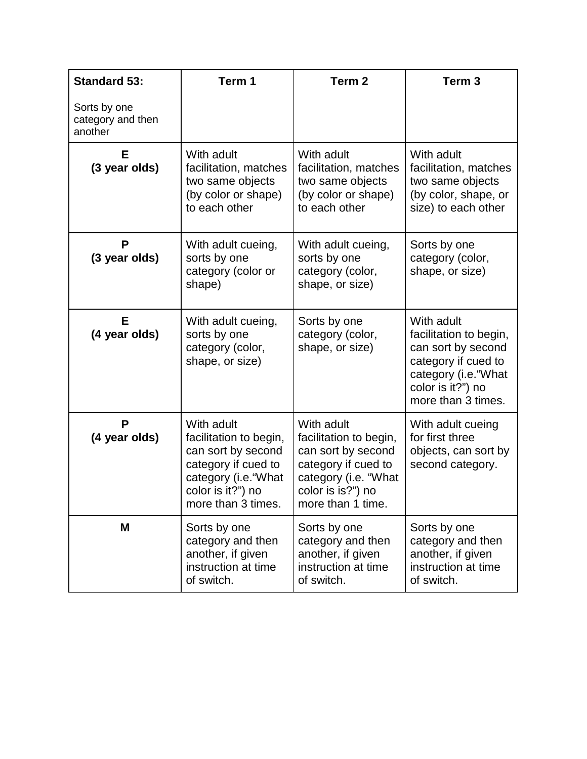| <b>Standard 53:</b>                          | Term 1                                                                                                                                               | Term <sub>2</sub>                                                                                                                                   | Term <sub>3</sub>                                                                                                                                    |
|----------------------------------------------|------------------------------------------------------------------------------------------------------------------------------------------------------|-----------------------------------------------------------------------------------------------------------------------------------------------------|------------------------------------------------------------------------------------------------------------------------------------------------------|
| Sorts by one<br>category and then<br>another |                                                                                                                                                      |                                                                                                                                                     |                                                                                                                                                      |
| Е<br>(3 year olds)                           | With adult<br>facilitation, matches<br>two same objects<br>(by color or shape)<br>to each other                                                      | With adult<br>facilitation, matches<br>two same objects<br>(by color or shape)<br>to each other                                                     | With adult<br>facilitation, matches<br>two same objects<br>(by color, shape, or<br>size) to each other                                               |
| P<br>(3 year olds)                           | With adult cueing,<br>sorts by one<br>category (color or<br>shape)                                                                                   | With adult cueing,<br>sorts by one<br>category (color,<br>shape, or size)                                                                           | Sorts by one<br>category (color,<br>shape, or size)                                                                                                  |
| Е<br>(4 year olds)                           | With adult cueing,<br>sorts by one<br>category (color,<br>shape, or size)                                                                            | Sorts by one<br>category (color,<br>shape, or size)                                                                                                 | With adult<br>facilitation to begin,<br>can sort by second<br>category if cued to<br>category (i.e. "What<br>color is it?") no<br>more than 3 times. |
| P<br>(4 year olds)                           | With adult<br>facilitation to begin,<br>can sort by second<br>category if cued to<br>category (i.e. "What<br>color is it?") no<br>more than 3 times. | With adult<br>facilitation to begin,<br>can sort by second<br>category if cued to<br>category (i.e. "What<br>color is is?") no<br>more than 1 time. | With adult cueing<br>for first three<br>objects, can sort by<br>second category.                                                                     |
| M                                            | Sorts by one<br>category and then<br>another, if given<br>instruction at time<br>of switch.                                                          | Sorts by one<br>category and then<br>another, if given<br>instruction at time<br>of switch.                                                         | Sorts by one<br>category and then<br>another, if given<br>instruction at time<br>of switch.                                                          |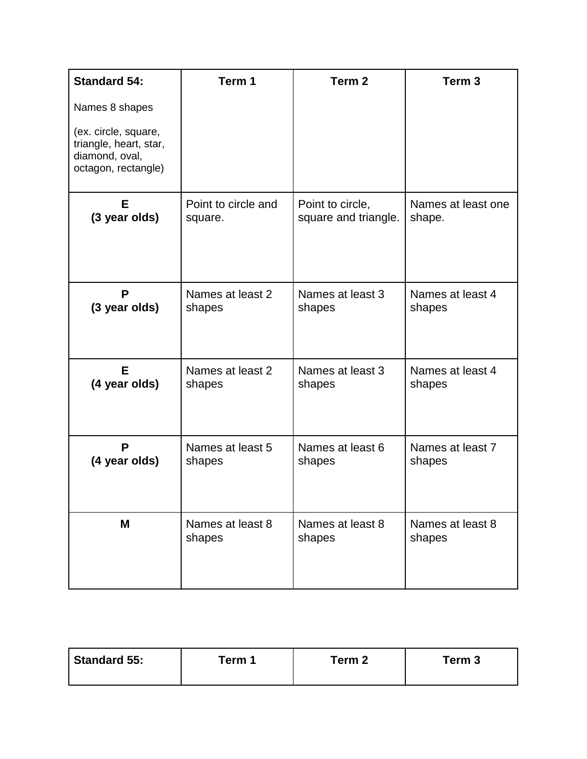| <b>Standard 54:</b>                                                                     | Term 1              | Term <sub>2</sub>    | Term <sub>3</sub>  |
|-----------------------------------------------------------------------------------------|---------------------|----------------------|--------------------|
| Names 8 shapes                                                                          |                     |                      |                    |
| (ex. circle, square,<br>triangle, heart, star,<br>diamond, oval,<br>octagon, rectangle) |                     |                      |                    |
| Е                                                                                       | Point to circle and | Point to circle,     | Names at least one |
| (3 year olds)                                                                           | square.             | square and triangle. | shape.             |
| P                                                                                       | Names at least 2    | Names at least 3     | Names at least 4   |
| (3 year olds)                                                                           | shapes              | shapes               | shapes             |
| Е                                                                                       | Names at least 2    | Names at least 3     | Names at least 4   |
| (4 year olds)                                                                           | shapes              | shapes               | shapes             |
| P                                                                                       | Names at least 5    | Names at least 6     | Names at least 7   |
| (4 year olds)                                                                           | shapes              | shapes               | shapes             |
| M                                                                                       | Names at least 8    | Names at least 8     | Names at least 8   |
|                                                                                         | shapes              | shapes               | shapes             |

| ັerm 1<br>Term 3<br>™erm 2 | Standard 55: |  |  |  |
|----------------------------|--------------|--|--|--|
|----------------------------|--------------|--|--|--|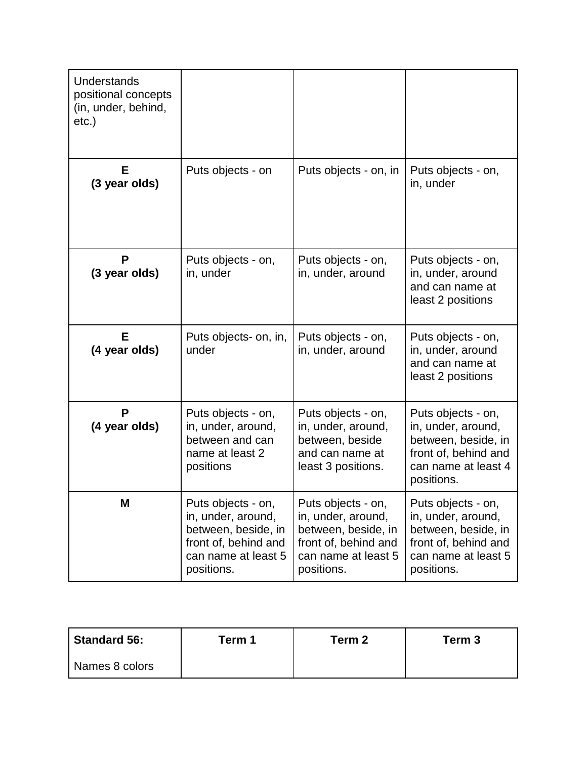| Understands<br>positional concepts<br>(in, under, behind,<br>etc.) |                                                                                                                              |                                                                                                                              |                                                                                                                              |
|--------------------------------------------------------------------|------------------------------------------------------------------------------------------------------------------------------|------------------------------------------------------------------------------------------------------------------------------|------------------------------------------------------------------------------------------------------------------------------|
| Е<br>(3 year olds)                                                 | Puts objects - on                                                                                                            | Puts objects - on, in                                                                                                        | Puts objects - on,<br>in, under                                                                                              |
| P<br>(3 year olds)                                                 | Puts objects - on,<br>in, under                                                                                              | Puts objects - on,<br>in, under, around                                                                                      | Puts objects - on,<br>in, under, around<br>and can name at<br>least 2 positions                                              |
| E<br>(4 year olds)                                                 | Puts objects- on, in,<br>under                                                                                               | Puts objects - on,<br>in, under, around                                                                                      | Puts objects - on,<br>in, under, around<br>and can name at<br>least 2 positions                                              |
| P<br>(4 year olds)                                                 | Puts objects - on,<br>in, under, around,<br>between and can<br>name at least 2<br>positions                                  | Puts objects - on,<br>in, under, around,<br>between, beside<br>and can name at<br>least 3 positions.                         | Puts objects - on,<br>in, under, around,<br>between, beside, in<br>front of, behind and<br>can name at least 4<br>positions. |
| M                                                                  | Puts objects - on,<br>in, under, around,<br>between, beside, in<br>front of, behind and<br>can name at least 5<br>positions. | Puts objects - on,<br>in, under, around,<br>between, beside, in<br>front of, behind and<br>can name at least 5<br>positions. | Puts objects - on,<br>in, under, around,<br>between, beside, in<br>front of, behind and<br>can name at least 5<br>positions. |

| Standard 56:   | Term 1 | Term 2 | Term 3 |
|----------------|--------|--------|--------|
| Names 8 colors |        |        |        |